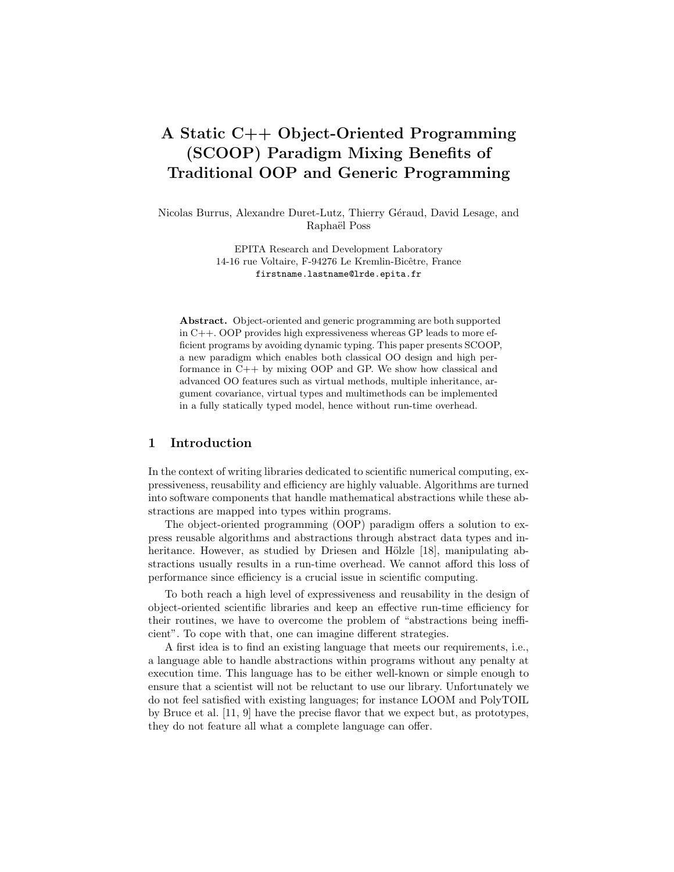# A Static C++ Object-Oriented Programming (SCOOP) Paradigm Mixing Benefits of Traditional OOP and Generic Programming

Nicolas Burrus, Alexandre Duret-Lutz, Thierry Géraud, David Lesage, and Raphaël Poss

> EPITA Research and Development Laboratory 14-16 rue Voltaire, F-94276 Le Kremlin-Bicêtre, France firstname.lastname@lrde.epita.fr

Abstract. Object-oriented and generic programming are both supported in C++. OOP provides high expressiveness whereas GP leads to more efficient programs by avoiding dynamic typing. This paper presents SCOOP, a new paradigm which enables both classical OO design and high performance in C++ by mixing OOP and GP. We show how classical and advanced OO features such as virtual methods, multiple inheritance, argument covariance, virtual types and multimethods can be implemented in a fully statically typed model, hence without run-time overhead.

### 1 Introduction

In the context of writing libraries dedicated to scientific numerical computing, expressiveness, reusability and efficiency are highly valuable. Algorithms are turned into software components that handle mathematical abstractions while these abstractions are mapped into types within programs.

The object-oriented programming (OOP) paradigm offers a solution to express reusable algorithms and abstractions through abstract data types and inheritance. However, as studied by Driesen and Hölzle [18], manipulating abstractions usually results in a run-time overhead. We cannot afford this loss of performance since efficiency is a crucial issue in scientific computing.

To both reach a high level of expressiveness and reusability in the design of object-oriented scientific libraries and keep an effective run-time efficiency for their routines, we have to overcome the problem of "abstractions being inefficient". To cope with that, one can imagine different strategies.

A first idea is to find an existing language that meets our requirements, i.e., a language able to handle abstractions within programs without any penalty at execution time. This language has to be either well-known or simple enough to ensure that a scientist will not be reluctant to use our library. Unfortunately we do not feel satisfied with existing languages; for instance LOOM and PolyTOIL by Bruce et al. [11, 9] have the precise flavor that we expect but, as prototypes, they do not feature all what a complete language can offer.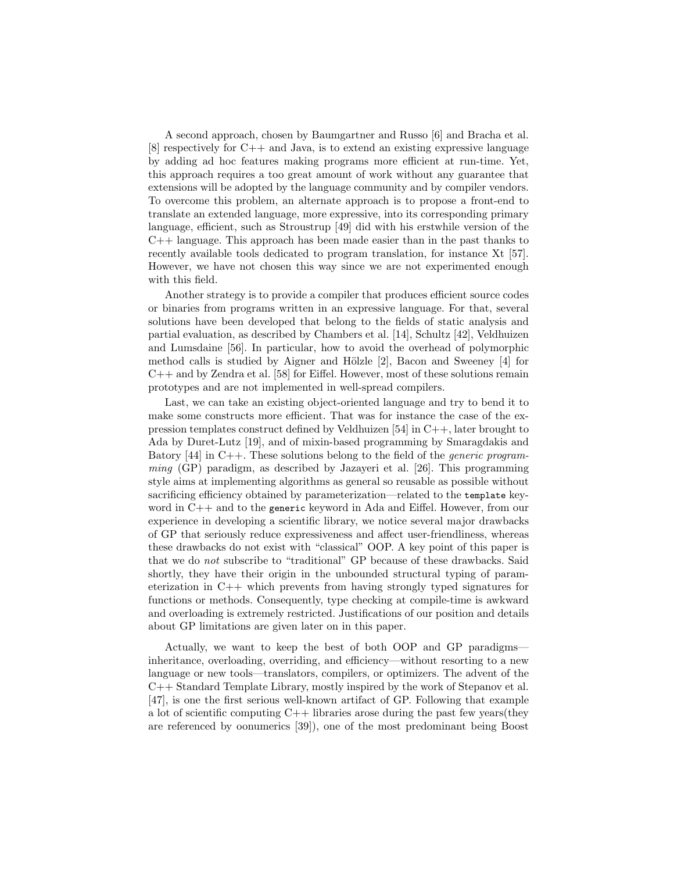A second approach, chosen by Baumgartner and Russo [6] and Bracha et al. [8] respectively for C++ and Java, is to extend an existing expressive language by adding ad hoc features making programs more efficient at run-time. Yet, this approach requires a too great amount of work without any guarantee that extensions will be adopted by the language community and by compiler vendors. To overcome this problem, an alternate approach is to propose a front-end to translate an extended language, more expressive, into its corresponding primary language, efficient, such as Stroustrup [49] did with his erstwhile version of the  $C_{++}$  language. This approach has been made easier than in the past thanks to recently available tools dedicated to program translation, for instance Xt [57]. However, we have not chosen this way since we are not experimented enough with this field.

Another strategy is to provide a compiler that produces efficient source codes or binaries from programs written in an expressive language. For that, several solutions have been developed that belong to the fields of static analysis and partial evaluation, as described by Chambers et al. [14], Schultz [42], Veldhuizen and Lumsdaine [56]. In particular, how to avoid the overhead of polymorphic method calls is studied by Aigner and Hölzle  $[2]$ , Bacon and Sweeney  $[4]$  for C++ and by Zendra et al. [58] for Eiffel. However, most of these solutions remain prototypes and are not implemented in well-spread compilers.

Last, we can take an existing object-oriented language and try to bend it to make some constructs more efficient. That was for instance the case of the expression templates construct defined by Veldhuizen [54] in C++, later brought to Ada by Duret-Lutz [19], and of mixin-based programming by Smaragdakis and Batory  $[44]$  in C++. These solutions belong to the field of the *generic program*ming (GP) paradigm, as described by Jazayeri et al. [26]. This programming style aims at implementing algorithms as general so reusable as possible without sacrificing efficiency obtained by parameterization—related to the template keyword in C++ and to the generic keyword in Ada and Eiffel. However, from our experience in developing a scientific library, we notice several major drawbacks of GP that seriously reduce expressiveness and affect user-friendliness, whereas these drawbacks do not exist with "classical" OOP. A key point of this paper is that we do not subscribe to "traditional" GP because of these drawbacks. Said shortly, they have their origin in the unbounded structural typing of parameterization in C++ which prevents from having strongly typed signatures for functions or methods. Consequently, type checking at compile-time is awkward and overloading is extremely restricted. Justifications of our position and details about GP limitations are given later on in this paper.

Actually, we want to keep the best of both OOP and GP paradigms inheritance, overloading, overriding, and efficiency—without resorting to a new language or new tools—translators, compilers, or optimizers. The advent of the C++ Standard Template Library, mostly inspired by the work of Stepanov et al. [47], is one the first serious well-known artifact of GP. Following that example a lot of scientific computing  $C++$  libraries arose during the past few years(they are referenced by oonumerics [39]), one of the most predominant being Boost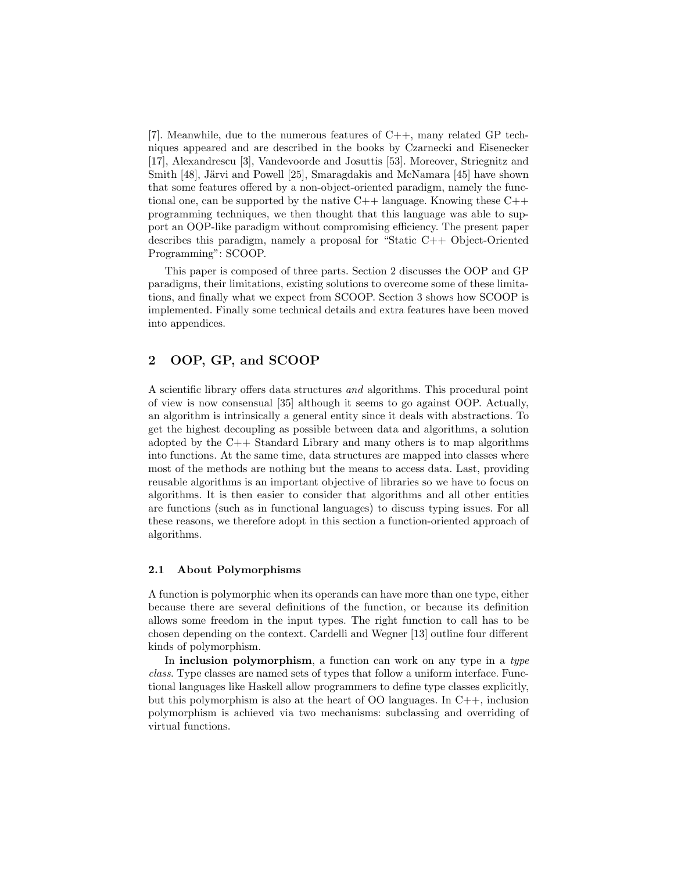[7]. Meanwhile, due to the numerous features of C++, many related GP techniques appeared and are described in the books by Czarnecki and Eisenecker [17], Alexandrescu [3], Vandevoorde and Josuttis [53]. Moreover, Striegnitz and Smith [48], Järvi and Powell [25], Smaragdakis and McNamara [45] have shown that some features offered by a non-object-oriented paradigm, namely the functional one, can be supported by the native  $C_{++}$  language. Knowing these  $C_{++}$ programming techniques, we then thought that this language was able to support an OOP-like paradigm without compromising efficiency. The present paper describes this paradigm, namely a proposal for "Static C++ Object-Oriented Programming": SCOOP.

This paper is composed of three parts. Section 2 discusses the OOP and GP paradigms, their limitations, existing solutions to overcome some of these limitations, and finally what we expect from SCOOP. Section 3 shows how SCOOP is implemented. Finally some technical details and extra features have been moved into appendices.

### 2 OOP, GP, and SCOOP

A scientific library offers data structures and algorithms. This procedural point of view is now consensual [35] although it seems to go against OOP. Actually, an algorithm is intrinsically a general entity since it deals with abstractions. To get the highest decoupling as possible between data and algorithms, a solution adopted by the C++ Standard Library and many others is to map algorithms into functions. At the same time, data structures are mapped into classes where most of the methods are nothing but the means to access data. Last, providing reusable algorithms is an important objective of libraries so we have to focus on algorithms. It is then easier to consider that algorithms and all other entities are functions (such as in functional languages) to discuss typing issues. For all these reasons, we therefore adopt in this section a function-oriented approach of algorithms.

### 2.1 About Polymorphisms

A function is polymorphic when its operands can have more than one type, either because there are several definitions of the function, or because its definition allows some freedom in the input types. The right function to call has to be chosen depending on the context. Cardelli and Wegner [13] outline four different kinds of polymorphism.

In inclusion polymorphism, a function can work on any type in a type class. Type classes are named sets of types that follow a uniform interface. Functional languages like Haskell allow programmers to define type classes explicitly, but this polymorphism is also at the heart of OO languages. In  $C_{++}$ , inclusion polymorphism is achieved via two mechanisms: subclassing and overriding of virtual functions.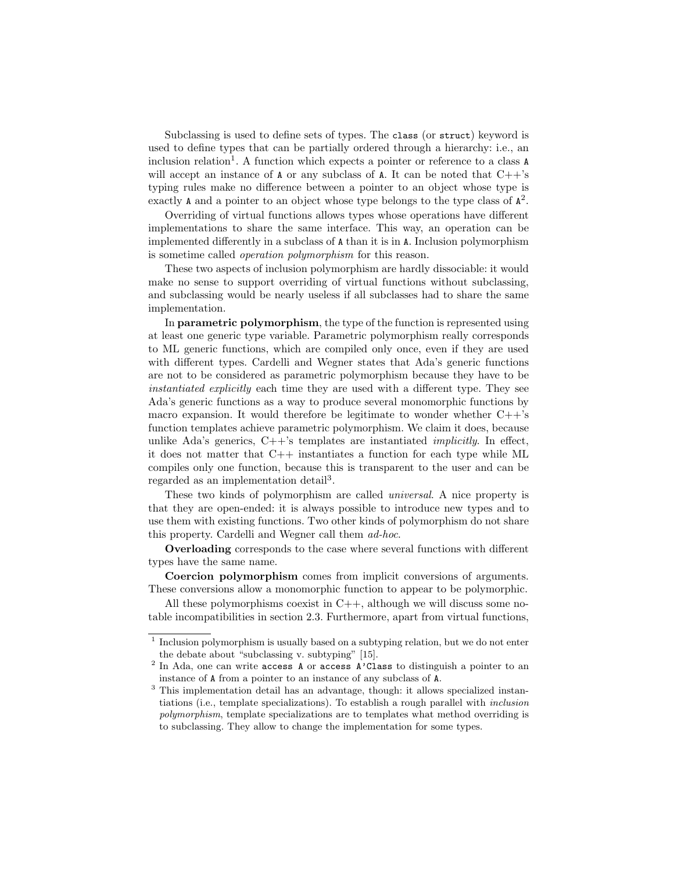Subclassing is used to define sets of types. The class (or struct) keyword is used to define types that can be partially ordered through a hierarchy: i.e., an inclusion relation<sup>1</sup>. A function which expects a pointer or reference to a class A will accept an instance of  $A$  or any subclass of  $A$ . It can be noted that  $C++s$ typing rules make no difference between a pointer to an object whose type is exactly  $\Lambda$  and a pointer to an object whose type belongs to the type class of  $\Lambda^2$ .

Overriding of virtual functions allows types whose operations have different implementations to share the same interface. This way, an operation can be implemented differently in a subclass of A than it is in A. Inclusion polymorphism is sometime called operation polymorphism for this reason.

These two aspects of inclusion polymorphism are hardly dissociable: it would make no sense to support overriding of virtual functions without subclassing, and subclassing would be nearly useless if all subclasses had to share the same implementation.

In parametric polymorphism, the type of the function is represented using at least one generic type variable. Parametric polymorphism really corresponds to ML generic functions, which are compiled only once, even if they are used with different types. Cardelli and Wegner states that Ada's generic functions are not to be considered as parametric polymorphism because they have to be instantiated explicitly each time they are used with a different type. They see Ada's generic functions as a way to produce several monomorphic functions by macro expansion. It would therefore be legitimate to wonder whether  $C++s$ function templates achieve parametric polymorphism. We claim it does, because unlike Ada's generics,  $C++$ 's templates are instantiated *implicitly*. In effect, it does not matter that C++ instantiates a function for each type while ML compiles only one function, because this is transparent to the user and can be regarded as an implementation detail<sup>3</sup>.

These two kinds of polymorphism are called universal. A nice property is that they are open-ended: it is always possible to introduce new types and to use them with existing functions. Two other kinds of polymorphism do not share this property. Cardelli and Wegner call them ad-hoc.

Overloading corresponds to the case where several functions with different types have the same name.

Coercion polymorphism comes from implicit conversions of arguments. These conversions allow a monomorphic function to appear to be polymorphic.

All these polymorphisms coexist in  $C_{++}$ , although we will discuss some notable incompatibilities in section 2.3. Furthermore, apart from virtual functions,

<sup>&</sup>lt;sup>1</sup> Inclusion polymorphism is usually based on a subtyping relation, but we do not enter the debate about "subclassing v. subtyping" [15].

<sup>&</sup>lt;sup>2</sup> In Ada, one can write  $access A$  or  $access A$ 'Class to distinguish a pointer to an instance of A from a pointer to an instance of any subclass of A.

<sup>3</sup> This implementation detail has an advantage, though: it allows specialized instantiations (i.e., template specializations). To establish a rough parallel with inclusion polymorphism, template specializations are to templates what method overriding is to subclassing. They allow to change the implementation for some types.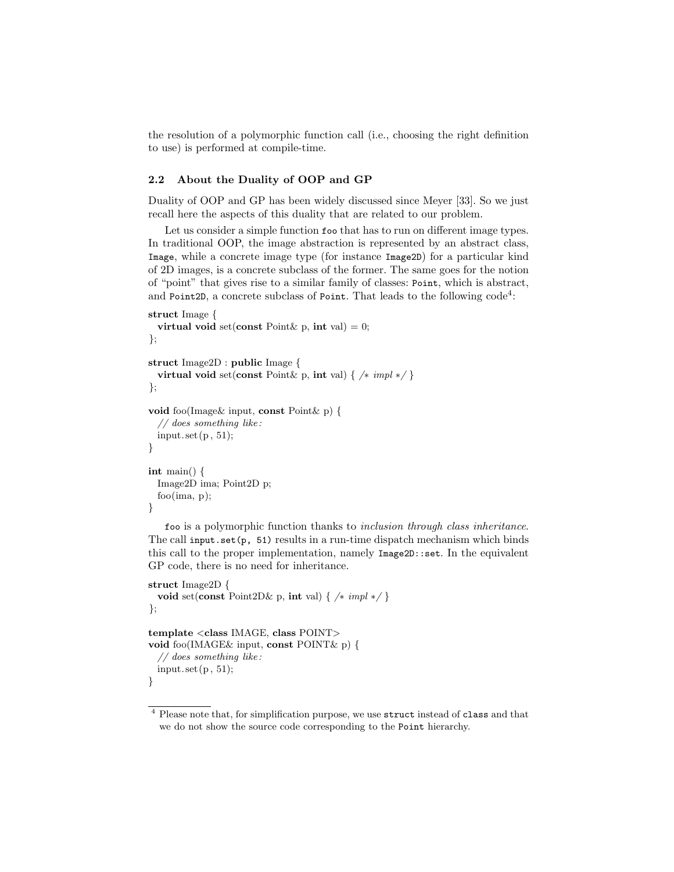the resolution of a polymorphic function call (i.e., choosing the right definition to use) is performed at compile-time.

### 2.2 About the Duality of OOP and GP

Duality of OOP and GP has been widely discussed since Meyer [33]. So we just recall here the aspects of this duality that are related to our problem.

Let us consider a simple function foo that has to run on different image types. In traditional OOP, the image abstraction is represented by an abstract class, Image, while a concrete image type (for instance Image2D) for a particular kind of 2D images, is a concrete subclass of the former. The same goes for the notion of "point" that gives rise to a similar family of classes: Point, which is abstract, and Point2D, a concrete subclass of Point. That leads to the following  $\text{code}^4$ :

```
struct Image {
  virtual void set(const Point & p, int val) = 0;
};
struct Image2D : public Image {
  virtual void set(const Point & p, int val) { /* impl */ }
};
void foo(Image& input, const Point& p) {
  // does something like :
  input. set (p, 51);
}
int main() {
  Image2D ima; Point2D p;
  foo(ima, p);
}
```
foo is a polymorphic function thanks to inclusion through class inheritance. The call input.set(p, 51) results in a run-time dispatch mechanism which binds this call to the proper implementation, namely Image2D::set. In the equivalent GP code, there is no need for inheritance.

```
struct Image2D {
 void set(const Point2D& p, int val) { /* impl */}
};
template <class IMAGE, class POINT>
void foo(IMAGE& input, const POINT& p) {
 // does something like :
 input.set(p, 51);}
```
<sup>4</sup> Please note that, for simplification purpose, we use struct instead of class and that we do not show the source code corresponding to the Point hierarchy.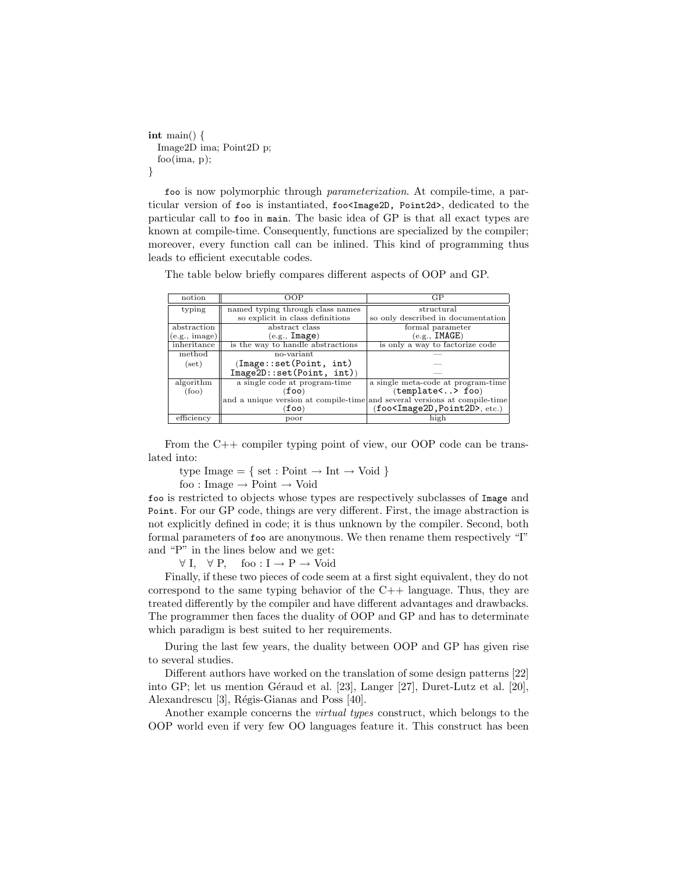```
int main() \{Image2D ima; Point2D p;
 foo(ima, p);
}
```
foo is now polymorphic through parameterization. At compile-time, a particular version of foo is instantiated, foo<Image2D, Point2d>, dedicated to the particular call to foo in main. The basic idea of GP is that all exact types are known at compile-time. Consequently, functions are specialized by the compiler; moreover, every function call can be inlined. This kind of programming thus leads to efficient executable codes.

The table below briefly compares different aspects of OOP and GP.

| notion         | OOP                                                                       | GP                                 |
|----------------|---------------------------------------------------------------------------|------------------------------------|
| typing         | named typing through class names                                          | structural                         |
|                | so explicit in class definitions                                          | so only described in documentation |
| abstraction    | abstract class                                                            | formal parameter                   |
| (e.g., image)  | (e.g., <b>Image</b> )                                                     | (e.g., IMAGE)                      |
| inheritance    | is the way to handle abstractions                                         | is only a way to factorize code    |
| method         | no-variant                                                                |                                    |
| (set)          | (Image::set(Point, int))                                                  |                                    |
|                | Image2D::set(Point, int))                                                 |                                    |
| algorithm      | a single code at program-time                                             | a single meta-code at program-time |
| $({\rm{foo}})$ | (foo)                                                                     | (template<> foo)                   |
|                | and a unique version at compile-time and several versions at compile-time |                                    |
|                | (foo)                                                                     | $(foo, etc.)$                      |
| efficiency     | poor                                                                      | high                               |

From the C++ compiler typing point of view, our OOP code can be translated into:

type Image = { set : Point  $\rightarrow$  Int  $\rightarrow$  Void }

foo : Image  $\rightarrow$  Point  $\rightarrow$  Void

foo is restricted to objects whose types are respectively subclasses of Image and Point. For our GP code, things are very different. First, the image abstraction is not explicitly defined in code; it is thus unknown by the compiler. Second, both formal parameters of foo are anonymous. We then rename them respectively "I" and "P" in the lines below and we get:

 $\forall I, \forall P, \text{foo}: I \rightarrow P \rightarrow \text{Void}$ 

Finally, if these two pieces of code seem at a first sight equivalent, they do not correspond to the same typing behavior of the  $C_{++}$  language. Thus, they are treated differently by the compiler and have different advantages and drawbacks. The programmer then faces the duality of OOP and GP and has to determinate which paradigm is best suited to her requirements.

During the last few years, the duality between OOP and GP has given rise to several studies.

Different authors have worked on the translation of some design patterns [22] into GP; let us mention Géraud et al.  $[23]$ , Langer  $[27]$ , Duret-Lutz et al.  $[20]$ , Alexandrescu [3], Régis-Gianas and Poss [40].

Another example concerns the virtual types construct, which belongs to the OOP world even if very few OO languages feature it. This construct has been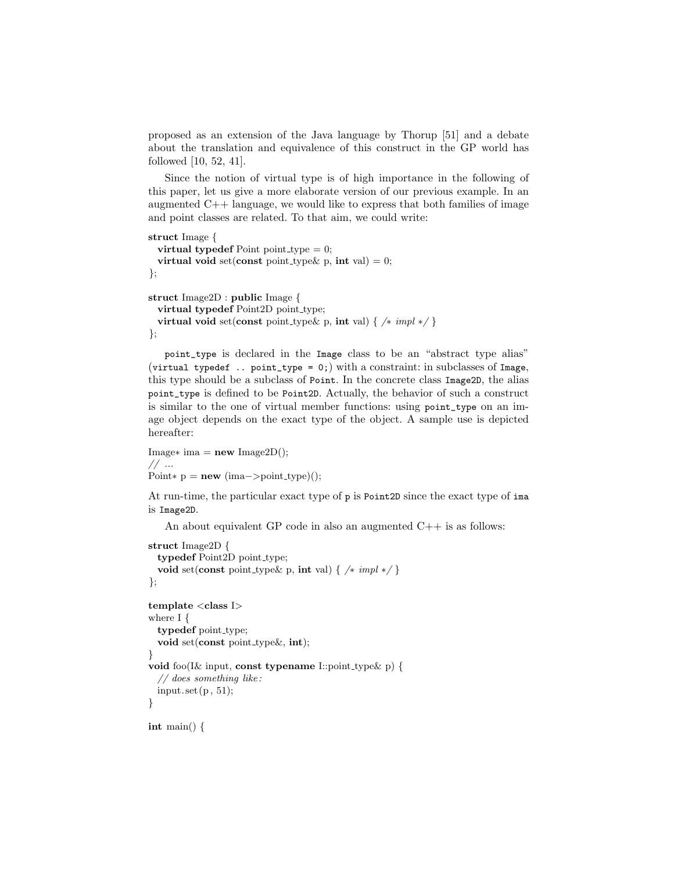proposed as an extension of the Java language by Thorup [51] and a debate about the translation and equivalence of this construct in the GP world has followed [10, 52, 41].

Since the notion of virtual type is of high importance in the following of this paper, let us give a more elaborate version of our previous example. In an augmented  $C_{++}$  language, we would like to express that both families of image and point classes are related. To that aim, we could write:

```
struct Image {
 virtual typedef Point point type = 0;
 virtual void set(const point type \& p, int val) = 0;
};
struct Image2D : public Image {
 virtual typedef Point2D point_type;
 virtual void set(const point type & p, int val) { /* impl */ }
};
```
point\_type is declared in the Image class to be an "abstract type alias" (virtual typedef .. point\_type = 0;) with a constraint: in subclasses of Image, this type should be a subclass of Point. In the concrete class Image2D, the alias point\_type is defined to be Point2D. Actually, the behavior of such a construct is similar to the one of virtual member functions: using point\_type on an image object depends on the exact type of the object. A sample use is depicted hereafter:

```
Image* ima = new Image2D();
// ...
Point∗ p = new (ima->point_type));
```
At run-time, the particular exact type of p is Point2D since the exact type of ima is Image2D.

An about equivalent GP code in also an augmented  $C++$  is as follows:

```
struct Image2D {
  typedef Point2D point_type;
  void set(const point type & p, int val) { /* impl */ }
};
template < class Iwhere I {
  typedef point_type;
  void set(const point_type&, int);
}
void foo(I& input, const typename I::point type& p) {
  // does something like :
  input. set (p, 51);
}
```
int main() {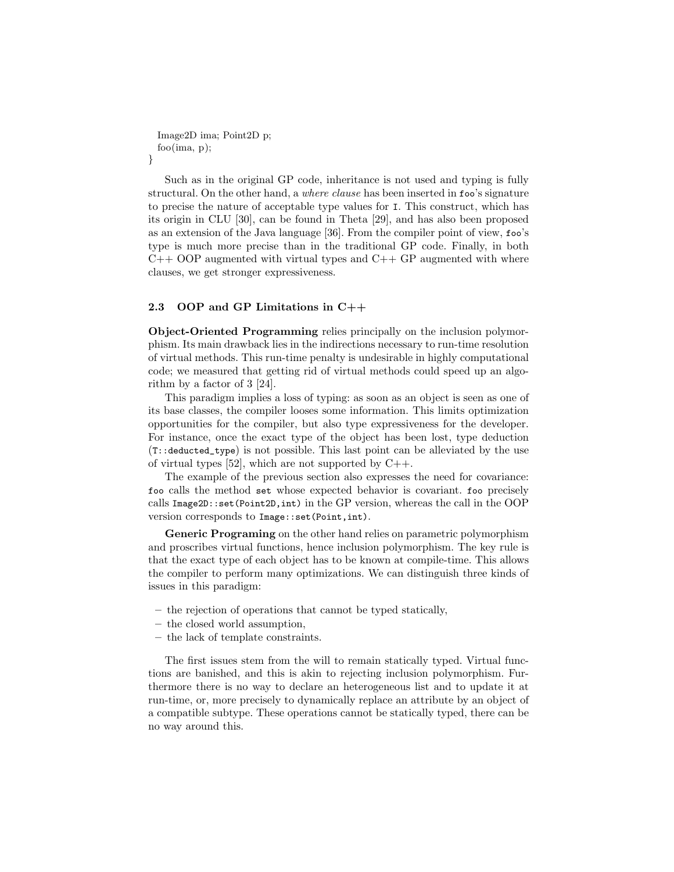```
Image2D ima; Point2D p;
 foo(ima, p);
}
```
Such as in the original GP code, inheritance is not used and typing is fully structural. On the other hand, a *where clause* has been inserted in foo's signature to precise the nature of acceptable type values for I. This construct, which has its origin in CLU [30], can be found in Theta [29], and has also been proposed as an extension of the Java language [36]. From the compiler point of view, foo's type is much more precise than in the traditional GP code. Finally, in both  $C++$  OOP augmented with virtual types and  $C++$  GP augmented with where clauses, we get stronger expressiveness.

#### 2.3 OOP and GP Limitations in C++

Object-Oriented Programming relies principally on the inclusion polymorphism. Its main drawback lies in the indirections necessary to run-time resolution of virtual methods. This run-time penalty is undesirable in highly computational code; we measured that getting rid of virtual methods could speed up an algorithm by a factor of 3 [24].

This paradigm implies a loss of typing: as soon as an object is seen as one of its base classes, the compiler looses some information. This limits optimization opportunities for the compiler, but also type expressiveness for the developer. For instance, once the exact type of the object has been lost, type deduction (T::deducted\_type) is not possible. This last point can be alleviated by the use of virtual types  $[52]$ , which are not supported by  $C++$ .

The example of the previous section also expresses the need for covariance: foo calls the method set whose expected behavior is covariant. foo precisely calls Image2D::set(Point2D,int) in the GP version, whereas the call in the OOP version corresponds to Image::set(Point,int).

Generic Programing on the other hand relies on parametric polymorphism and proscribes virtual functions, hence inclusion polymorphism. The key rule is that the exact type of each object has to be known at compile-time. This allows the compiler to perform many optimizations. We can distinguish three kinds of issues in this paradigm:

- the rejection of operations that cannot be typed statically,
- the closed world assumption,
- the lack of template constraints.

The first issues stem from the will to remain statically typed. Virtual functions are banished, and this is akin to rejecting inclusion polymorphism. Furthermore there is no way to declare an heterogeneous list and to update it at run-time, or, more precisely to dynamically replace an attribute by an object of a compatible subtype. These operations cannot be statically typed, there can be no way around this.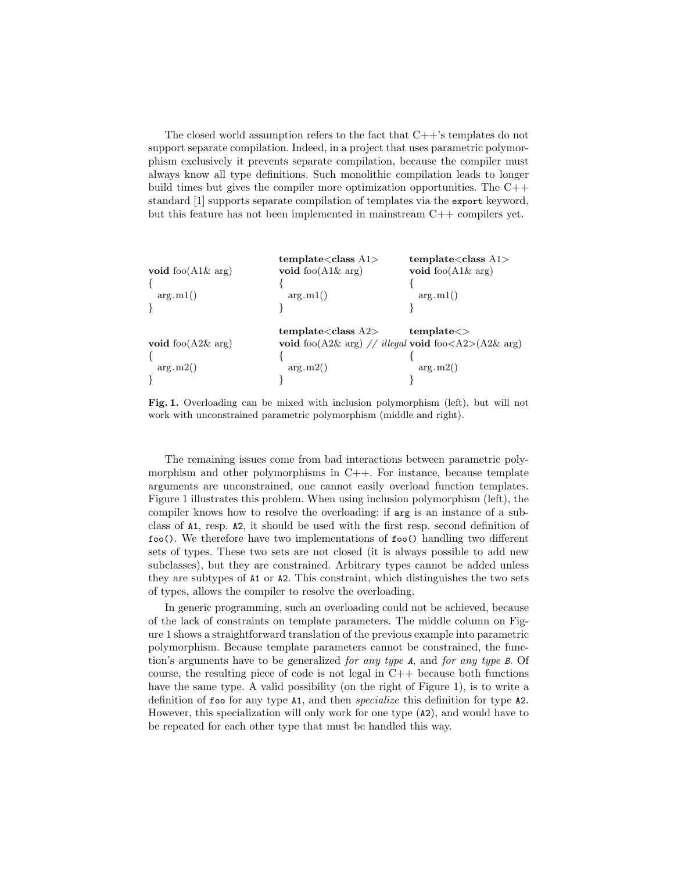The closed world assumption refers to the fact that C++'s templates do not support separate compilation. Indeed, in a project that uses parametric polymorphism exclusively it prevents separate compilation, because the compiler must always know all type definitions. Such monolithic compilation leads to longer build times but gives the compiler more optimization opportunities. The C++ standard [1] supports separate compilation of templates via the export keyword, but this feature has not been implemented in mainstream C++ compilers yet.

| void foo $(A1\&$ arg)<br>arg.m1() | template < class A1><br>void foo $(A1\&$ arg)<br>arg.m1()                                                                                             | template < class A1><br>void foo $(A1\&$ arg)<br>arg.m1() |
|-----------------------------------|-------------------------------------------------------------------------------------------------------------------------------------------------------|-----------------------------------------------------------|
| void foo $(A2\&$ arg)<br>arg.m2() | template <class a2=""><br/>void foo<math>(A2\&amp;</math> arg) // illegal void foo<math>\langle A2 \rangle (A2\&amp;</math> arg)<br/>arg.m2()</class> | template <<br>arg.m2()                                    |

Fig. 1. Overloading can be mixed with inclusion polymorphism (left), but will not work with unconstrained parametric polymorphism (middle and right).

The remaining issues come from bad interactions between parametric polymorphism and other polymorphisms in  $C++$ . For instance, because template arguments are unconstrained, one cannot easily overload function templates. Figure 1 illustrates this problem. When using inclusion polymorphism (left), the compiler knows how to resolve the overloading: if arg is an instance of a subclass of A1, resp. A2, it should be used with the first resp. second definition of foo(). We therefore have two implementations of foo() handling two different sets of types. These two sets are not closed (it is always possible to add new subclasses), but they are constrained. Arbitrary types cannot be added unless they are subtypes of A1 or A2. This constraint, which distinguishes the two sets of types, allows the compiler to resolve the overloading.

In generic programming, such an overloading could not be achieved, because of the lack of constraints on template parameters. The middle column on Figure 1 shows a straightforward translation of the previous example into parametric polymorphism. Because template parameters cannot be constrained, the function's arguments have to be generalized for any type A, and for any type B. Of course, the resulting piece of code is not legal in  $C++$  because both functions have the same type. A valid possibility (on the right of Figure 1), is to write a definition of foo for any type A1, and then specialize this definition for type A2. However, this specialization will only work for one type (A2), and would have to be repeated for each other type that must be handled this way.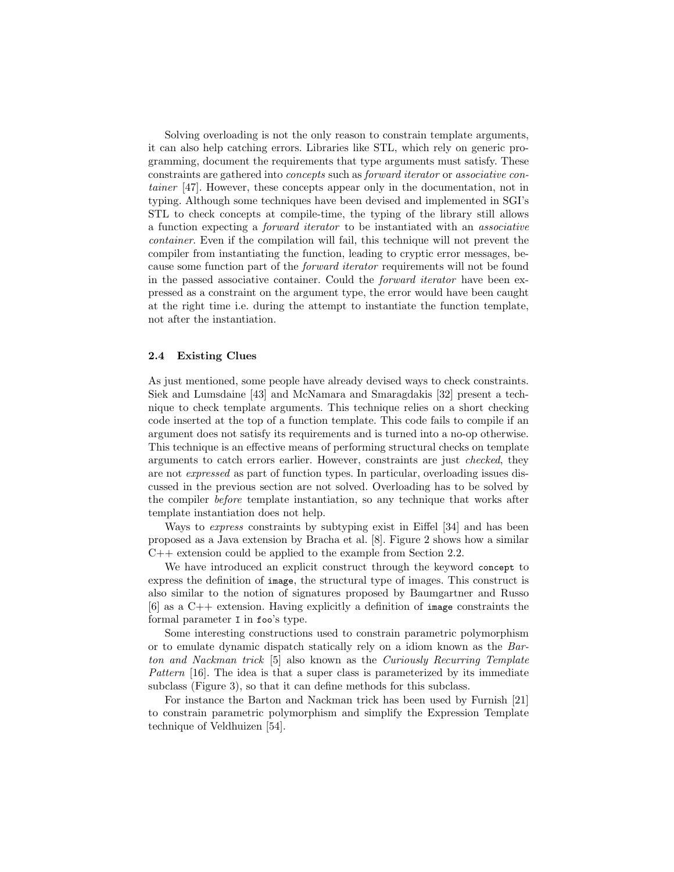Solving overloading is not the only reason to constrain template arguments, it can also help catching errors. Libraries like STL, which rely on generic programming, document the requirements that type arguments must satisfy. These constraints are gathered into concepts such as forward iterator or associative container [47]. However, these concepts appear only in the documentation, not in typing. Although some techniques have been devised and implemented in SGI's STL to check concepts at compile-time, the typing of the library still allows a function expecting a forward iterator to be instantiated with an associative container. Even if the compilation will fail, this technique will not prevent the compiler from instantiating the function, leading to cryptic error messages, because some function part of the forward iterator requirements will not be found in the passed associative container. Could the forward iterator have been expressed as a constraint on the argument type, the error would have been caught at the right time i.e. during the attempt to instantiate the function template, not after the instantiation.

#### 2.4 Existing Clues

As just mentioned, some people have already devised ways to check constraints. Siek and Lumsdaine [43] and McNamara and Smaragdakis [32] present a technique to check template arguments. This technique relies on a short checking code inserted at the top of a function template. This code fails to compile if an argument does not satisfy its requirements and is turned into a no-op otherwise. This technique is an effective means of performing structural checks on template arguments to catch errors earlier. However, constraints are just checked, they are not expressed as part of function types. In particular, overloading issues discussed in the previous section are not solved. Overloading has to be solved by the compiler before template instantiation, so any technique that works after template instantiation does not help.

Ways to express constraints by subtyping exist in Eiffel [34] and has been proposed as a Java extension by Bracha et al. [8]. Figure 2 shows how a similar C++ extension could be applied to the example from Section 2.2.

We have introduced an explicit construct through the keyword concept to express the definition of image, the structural type of images. This construct is also similar to the notion of signatures proposed by Baumgartner and Russo [6] as a C++ extension. Having explicitly a definition of image constraints the formal parameter I in foo's type.

Some interesting constructions used to constrain parametric polymorphism or to emulate dynamic dispatch statically rely on a idiom known as the Barton and Nackman trick [5] also known as the Curiously Recurring Template Pattern [16]. The idea is that a super class is parameterized by its immediate subclass (Figure 3), so that it can define methods for this subclass.

For instance the Barton and Nackman trick has been used by Furnish [21] to constrain parametric polymorphism and simplify the Expression Template technique of Veldhuizen [54].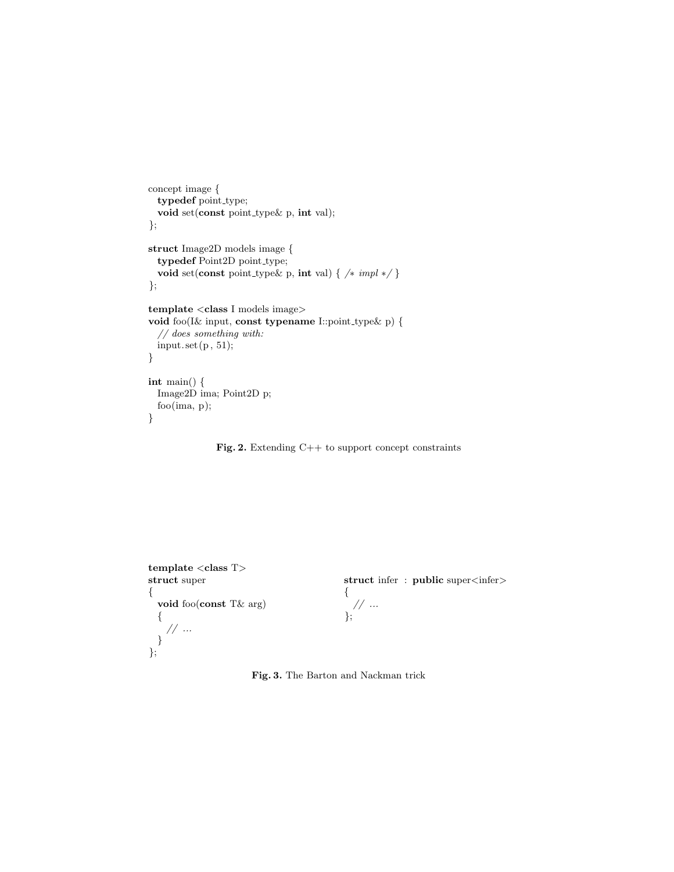```
concept image {
  typedef point_type;
  void set(const point_type& p, int val);
};
struct Image2D models image {
  typedef Point2D point_type;
  void set(const point type& p, int val) { /∗ impl ∗/ }
};
template <class I models image>
void foo(I& input, const typename I::point type& p) {
  // does something with:
 input.set(p, 51);}
int main() {
  Image2D ima; Point2D p;
  foo(ima, p);
}
```
Fig. 2. Extending C++ to support concept constraints



Fig. 3. The Barton and Nackman trick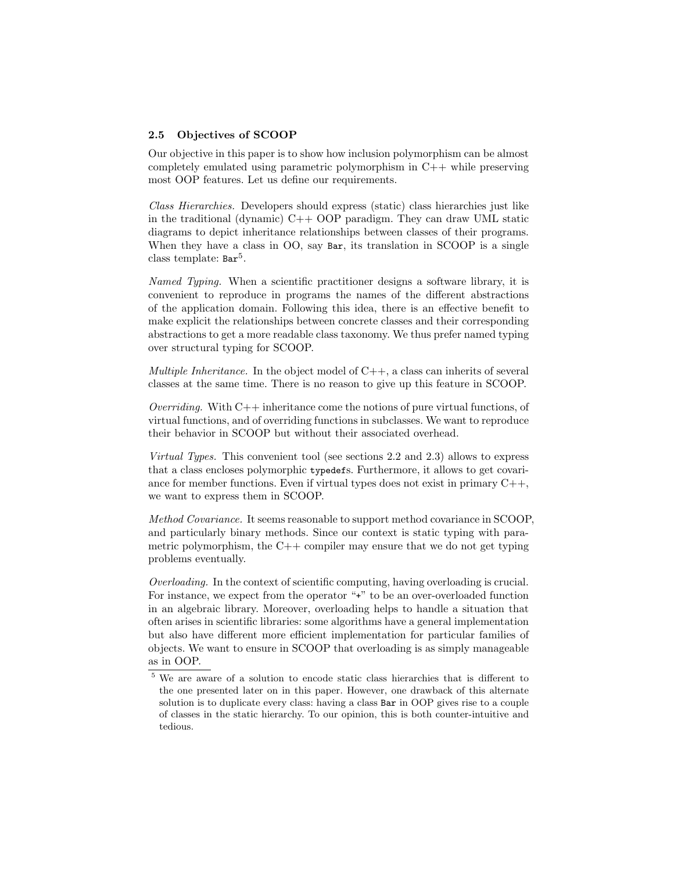#### 2.5 Objectives of SCOOP

Our objective in this paper is to show how inclusion polymorphism can be almost completely emulated using parametric polymorphism in C++ while preserving most OOP features. Let us define our requirements.

Class Hierarchies. Developers should express (static) class hierarchies just like in the traditional (dynamic) C++ OOP paradigm. They can draw UML static diagrams to depict inheritance relationships between classes of their programs. When they have a class in OO, say Bar, its translation in SCOOP is a single class template:  $Bar<sup>5</sup>$ .

Named Typing. When a scientific practitioner designs a software library, it is convenient to reproduce in programs the names of the different abstractions of the application domain. Following this idea, there is an effective benefit to make explicit the relationships between concrete classes and their corresponding abstractions to get a more readable class taxonomy. We thus prefer named typing over structural typing for SCOOP.

*Multiple Inheritance.* In the object model of  $C_{++}$ , a class can inherits of several classes at the same time. There is no reason to give up this feature in SCOOP.

*Overriding.* With  $C++$  inheritance come the notions of pure virtual functions, of virtual functions, and of overriding functions in subclasses. We want to reproduce their behavior in SCOOP but without their associated overhead.

Virtual Types. This convenient tool (see sections 2.2 and 2.3) allows to express that a class encloses polymorphic typedefs. Furthermore, it allows to get covariance for member functions. Even if virtual types does not exist in primary  $C_{++}$ , we want to express them in SCOOP.

Method Covariance. It seems reasonable to support method covariance in SCOOP, and particularly binary methods. Since our context is static typing with parametric polymorphism, the  $C++$  compiler may ensure that we do not get typing problems eventually.

Overloading. In the context of scientific computing, having overloading is crucial. For instance, we expect from the operator "+" to be an over-overloaded function in an algebraic library. Moreover, overloading helps to handle a situation that often arises in scientific libraries: some algorithms have a general implementation but also have different more efficient implementation for particular families of objects. We want to ensure in SCOOP that overloading is as simply manageable as in OOP.

<sup>5</sup> We are aware of a solution to encode static class hierarchies that is different to the one presented later on in this paper. However, one drawback of this alternate solution is to duplicate every class: having a class Bar in OOP gives rise to a couple of classes in the static hierarchy. To our opinion, this is both counter-intuitive and tedious.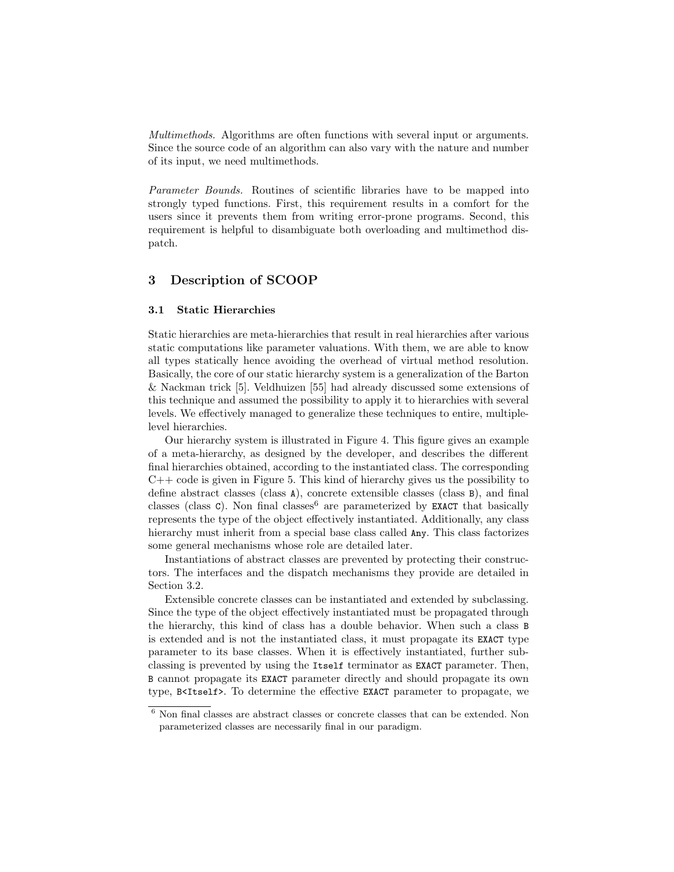Multimethods. Algorithms are often functions with several input or arguments. Since the source code of an algorithm can also vary with the nature and number of its input, we need multimethods.

Parameter Bounds. Routines of scientific libraries have to be mapped into strongly typed functions. First, this requirement results in a comfort for the users since it prevents them from writing error-prone programs. Second, this requirement is helpful to disambiguate both overloading and multimethod dispatch.

## 3 Description of SCOOP

#### 3.1 Static Hierarchies

Static hierarchies are meta-hierarchies that result in real hierarchies after various static computations like parameter valuations. With them, we are able to know all types statically hence avoiding the overhead of virtual method resolution. Basically, the core of our static hierarchy system is a generalization of the Barton & Nackman trick [5]. Veldhuizen [55] had already discussed some extensions of this technique and assumed the possibility to apply it to hierarchies with several levels. We effectively managed to generalize these techniques to entire, multiplelevel hierarchies.

Our hierarchy system is illustrated in Figure 4. This figure gives an example of a meta-hierarchy, as designed by the developer, and describes the different final hierarchies obtained, according to the instantiated class. The corresponding  $C++$  code is given in Figure 5. This kind of hierarchy gives us the possibility to define abstract classes (class A), concrete extensible classes (class B), and final classes (class C). Non final classes are parameterized by **EXACT** that basically represents the type of the object effectively instantiated. Additionally, any class hierarchy must inherit from a special base class called Any. This class factorizes some general mechanisms whose role are detailed later.

Instantiations of abstract classes are prevented by protecting their constructors. The interfaces and the dispatch mechanisms they provide are detailed in Section 3.2.

Extensible concrete classes can be instantiated and extended by subclassing. Since the type of the object effectively instantiated must be propagated through the hierarchy, this kind of class has a double behavior. When such a class B is extended and is not the instantiated class, it must propagate its EXACT type parameter to its base classes. When it is effectively instantiated, further subclassing is prevented by using the Itself terminator as EXACT parameter. Then, B cannot propagate its EXACT parameter directly and should propagate its own type, B<Itself>. To determine the effective EXACT parameter to propagate, we

 $^6$  Non final classes are abstract classes or concrete classes that can be extended. Non  $\,$ parameterized classes are necessarily final in our paradigm.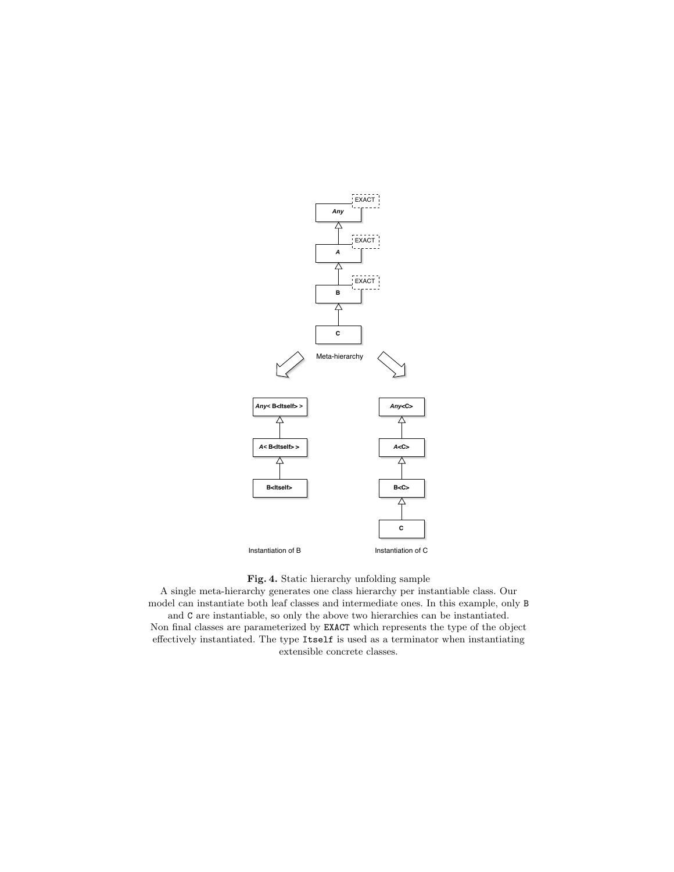



A single meta-hierarchy generates one class hierarchy per instantiable class. Our model can instantiate both leaf classes and intermediate ones. In this example, only B and C are instantiable, so only the above two hierarchies can be instantiated. Non final classes are parameterized by EXACT which represents the type of the object effectively instantiated. The type Itself is used as a terminator when instantiating extensible concrete classes.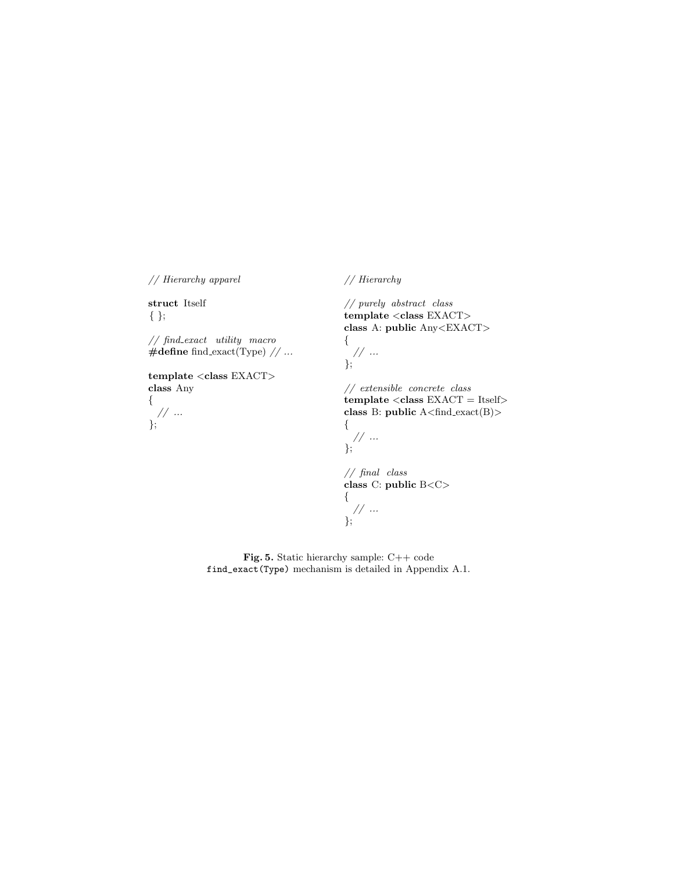// Hierarchy apparel

struct Itself { };

};

// find exact utility macro  $\#$ define find exact(Type)  $// \dots$ 

template  $<$ class $\textit{EXACT}$   $>$ class Any { // ...

// Hierarchy

// purely abstract class template <class EXACT> class A: public Any<EXACT> {

// ... };

// extensible concrete class  $template < class EXACT = Itself$ class B: public A<find exact(B)> {

// ... };

// final class class C: public B<C> { // ... };

Fig. 5. Static hierarchy sample: C++ code find\_exact(Type) mechanism is detailed in Appendix A.1.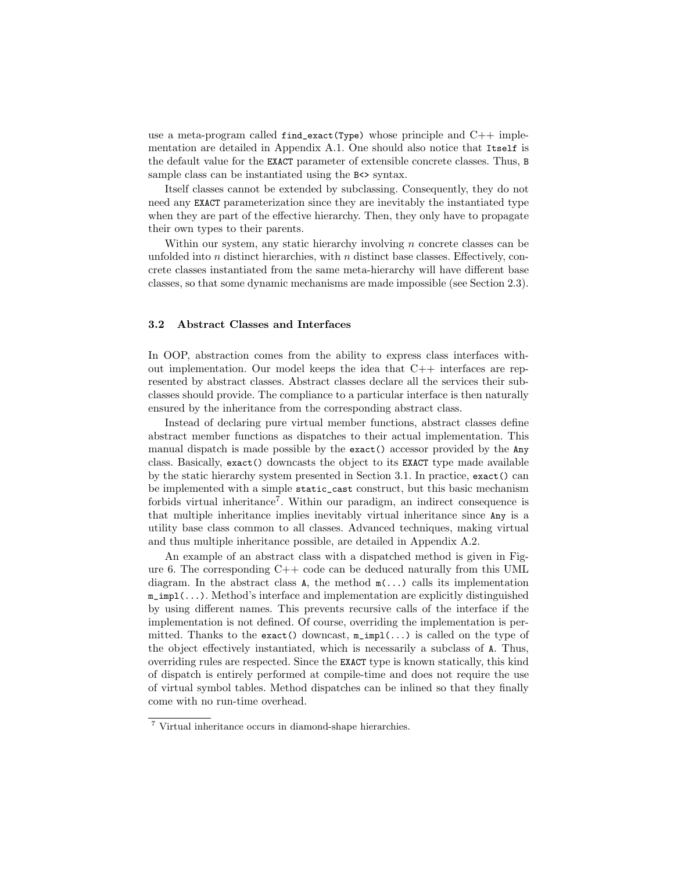use a meta-program called  $\text{find\_exact}(Type)$  whose principle and  $C++$  implementation are detailed in Appendix A.1. One should also notice that Itself is the default value for the EXACT parameter of extensible concrete classes. Thus, B sample class can be instantiated using the  $B \leq S$  syntax.

Itself classes cannot be extended by subclassing. Consequently, they do not need any EXACT parameterization since they are inevitably the instantiated type when they are part of the effective hierarchy. Then, they only have to propagate their own types to their parents.

Within our system, any static hierarchy involving  $n$  concrete classes can be unfolded into  $n$  distinct hierarchies, with  $n$  distinct base classes. Effectively, concrete classes instantiated from the same meta-hierarchy will have different base classes, so that some dynamic mechanisms are made impossible (see Section 2.3).

#### 3.2 Abstract Classes and Interfaces

In OOP, abstraction comes from the ability to express class interfaces without implementation. Our model keeps the idea that  $C++$  interfaces are represented by abstract classes. Abstract classes declare all the services their subclasses should provide. The compliance to a particular interface is then naturally ensured by the inheritance from the corresponding abstract class.

Instead of declaring pure virtual member functions, abstract classes define abstract member functions as dispatches to their actual implementation. This manual dispatch is made possible by the exact() accessor provided by the Any class. Basically, exact() downcasts the object to its EXACT type made available by the static hierarchy system presented in Section 3.1. In practice, exact() can be implemented with a simple static\_cast construct, but this basic mechanism forbids virtual inheritance<sup>7</sup> . Within our paradigm, an indirect consequence is that multiple inheritance implies inevitably virtual inheritance since Any is a utility base class common to all classes. Advanced techniques, making virtual and thus multiple inheritance possible, are detailed in Appendix A.2.

An example of an abstract class with a dispatched method is given in Figure 6. The corresponding  $C++$  code can be deduced naturally from this UML diagram. In the abstract class **A**, the method  $m(\ldots)$  calls its implementation  $m_i$ impl $(...).$  Method's interface and implementation are explicitly distinguished by using different names. This prevents recursive calls of the interface if the implementation is not defined. Of course, overriding the implementation is permitted. Thanks to the exact() downcast, m\_impl(...) is called on the type of the object effectively instantiated, which is necessarily a subclass of A. Thus, overriding rules are respected. Since the EXACT type is known statically, this kind of dispatch is entirely performed at compile-time and does not require the use of virtual symbol tables. Method dispatches can be inlined so that they finally come with no run-time overhead.

<sup>7</sup> Virtual inheritance occurs in diamond-shape hierarchies.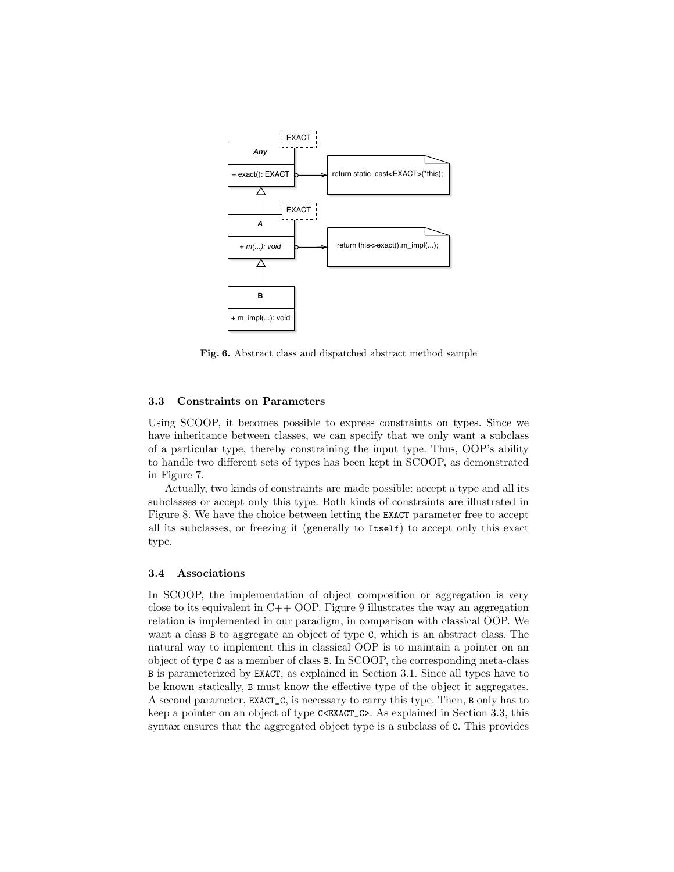

Fig. 6. Abstract class and dispatched abstract method sample

#### 3.3 Constraints on Parameters

Using SCOOP, it becomes possible to express constraints on types. Since we have inheritance between classes, we can specify that we only want a subclass of a particular type, thereby constraining the input type. Thus, OOP's ability to handle two different sets of types has been kept in SCOOP, as demonstrated in Figure 7.

Actually, two kinds of constraints are made possible: accept a type and all its subclasses or accept only this type. Both kinds of constraints are illustrated in Figure 8. We have the choice between letting the EXACT parameter free to accept all its subclasses, or freezing it (generally to Itself) to accept only this exact type.

#### 3.4 Associations

In SCOOP, the implementation of object composition or aggregation is very close to its equivalent in  $C++$  OOP. Figure 9 illustrates the way an aggregation relation is implemented in our paradigm, in comparison with classical OOP. We want a class B to aggregate an object of type C, which is an abstract class. The natural way to implement this in classical OOP is to maintain a pointer on an object of type C as a member of class B. In SCOOP, the corresponding meta-class B is parameterized by EXACT, as explained in Section 3.1. Since all types have to be known statically, B must know the effective type of the object it aggregates. A second parameter, EXACT\_C, is necessary to carry this type. Then, B only has to keep a pointer on an object of type C<EXACT\_C>. As explained in Section 3.3, this syntax ensures that the aggregated object type is a subclass of C. This provides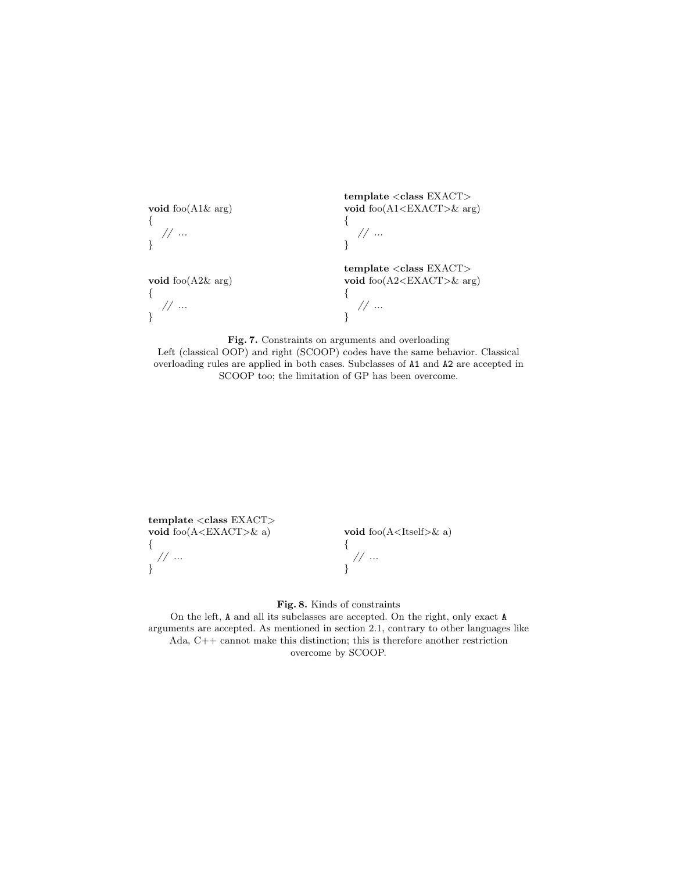void foo(A1& arg) {  $// \; \ldots$ } void foo(A2& arg) { // ... } template <class EXACT> void foo(A1<EXACT>& arg) {  $// \; ...$ } template <class EXACT> void foo(A2<EXACT>& arg) { // ... }

Fig. 7. Constraints on arguments and overloading Left (classical OOP) and right (SCOOP) codes have the same behavior. Classical overloading rules are applied in both cases. Subclasses of A1 and A2 are accepted in SCOOP too; the limitation of GP has been overcome.

template <class EXACT> void foo(A<EXACT>& a) { // ... }

void  $foo(A < Itself > & a)$ 

{ // ... }

Fig. 8. Kinds of constraints

On the left, A and all its subclasses are accepted. On the right, only exact A arguments are accepted. As mentioned in section 2.1, contrary to other languages like Ada, C++ cannot make this distinction; this is therefore another restriction overcome by SCOOP.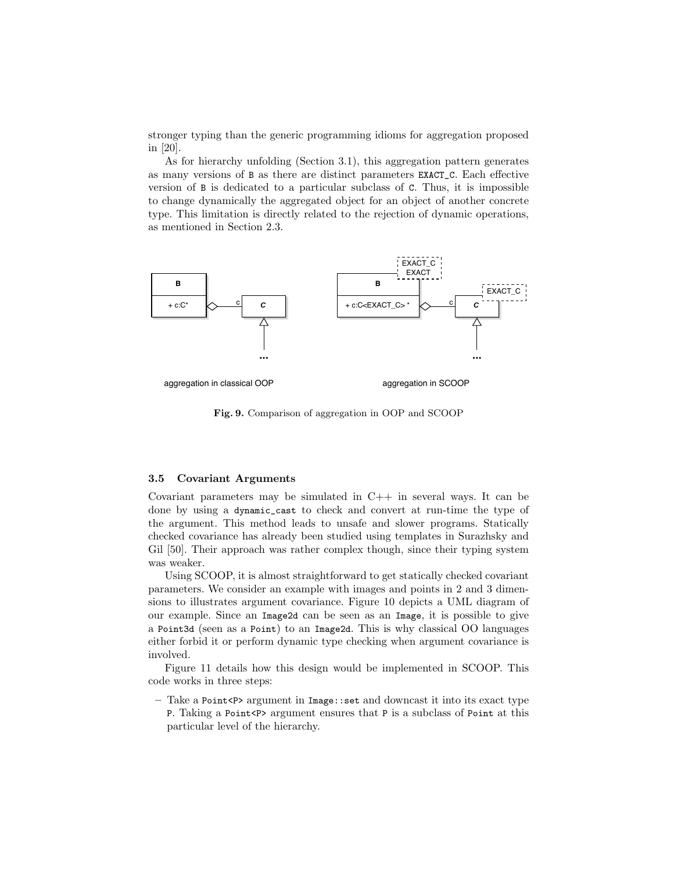stronger typing than the generic programming idioms for aggregation proposed in [20].

As for hierarchy unfolding (Section 3.1), this aggregation pattern generates as many versions of B as there are distinct parameters EXACT\_C. Each effective version of B is dedicated to a particular subclass of C. Thus, it is impossible to change dynamically the aggregated object for an object of another concrete type. This limitation is directly related to the rejection of dynamic operations, as mentioned in Section 2.3.



aggregation in classical OOP

aggregation in SCOOP

Fig. 9. Comparison of aggregation in OOP and SCOOP

#### 3.5 Covariant Arguments

Covariant parameters may be simulated in  $C++$  in several ways. It can be done by using a dynamic\_cast to check and convert at run-time the type of the argument. This method leads to unsafe and slower programs. Statically checked covariance has already been studied using templates in Surazhsky and Gil [50]. Their approach was rather complex though, since their typing system was weaker.

Using SCOOP, it is almost straightforward to get statically checked covariant parameters. We consider an example with images and points in 2 and 3 dimensions to illustrates argument covariance. Figure 10 depicts a UML diagram of our example. Since an Image2d can be seen as an Image, it is possible to give a Point3d (seen as a Point) to an Image2d. This is why classical OO languages either forbid it or perform dynamic type checking when argument covariance is involved.

Figure 11 details how this design would be implemented in SCOOP. This code works in three steps:

– Take a Point<P> argument in  $Image::set$  and downcast it into its exact type P. Taking a Point<P> argument ensures that P is a subclass of Point at this particular level of the hierarchy.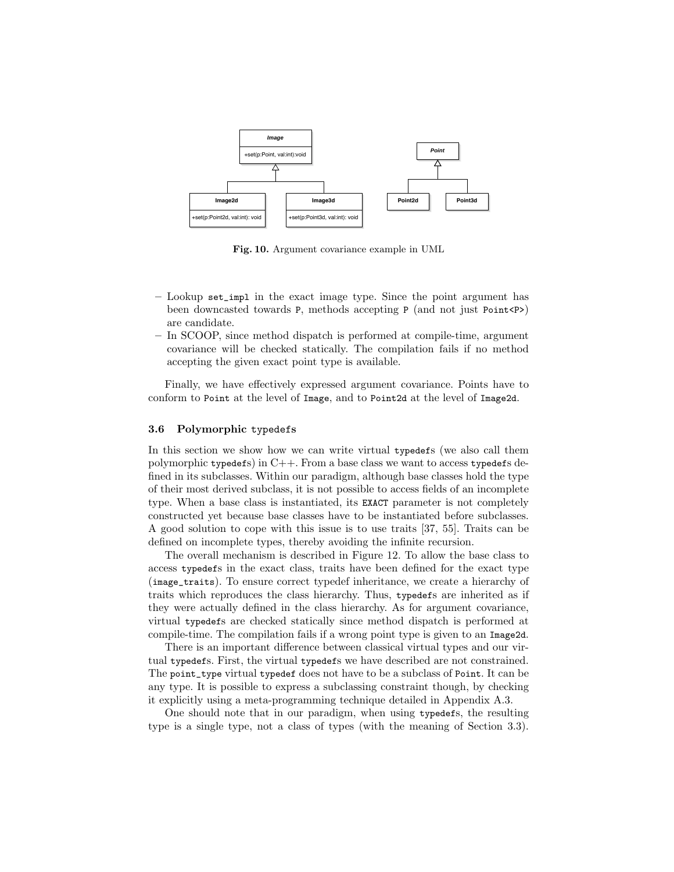

Fig. 10. Argument covariance example in UML

- Lookup set\_impl in the exact image type. Since the point argument has been downcasted towards P, methods accepting P (and not just Point<P>) are candidate.
- In SCOOP, since method dispatch is performed at compile-time, argument covariance will be checked statically. The compilation fails if no method accepting the given exact point type is available.

Finally, we have effectively expressed argument covariance. Points have to conform to Point at the level of Image, and to Point2d at the level of Image2d.

#### 3.6 Polymorphic typedefs

In this section we show how we can write virtual typedefs (we also call them polymorphic typedefs) in  $C++$ . From a base class we want to access typedefs defined in its subclasses. Within our paradigm, although base classes hold the type of their most derived subclass, it is not possible to access fields of an incomplete type. When a base class is instantiated, its EXACT parameter is not completely constructed yet because base classes have to be instantiated before subclasses. A good solution to cope with this issue is to use traits [37, 55]. Traits can be defined on incomplete types, thereby avoiding the infinite recursion.

The overall mechanism is described in Figure 12. To allow the base class to access typedefs in the exact class, traits have been defined for the exact type (image\_traits). To ensure correct typedef inheritance, we create a hierarchy of traits which reproduces the class hierarchy. Thus, typedefs are inherited as if they were actually defined in the class hierarchy. As for argument covariance, virtual typedefs are checked statically since method dispatch is performed at compile-time. The compilation fails if a wrong point type is given to an Image2d.

There is an important difference between classical virtual types and our virtual typedefs. First, the virtual typedefs we have described are not constrained. The point\_type virtual typedef does not have to be a subclass of Point. It can be any type. It is possible to express a subclassing constraint though, by checking it explicitly using a meta-programming technique detailed in Appendix A.3.

One should note that in our paradigm, when using typedefs, the resulting type is a single type, not a class of types (with the meaning of Section 3.3).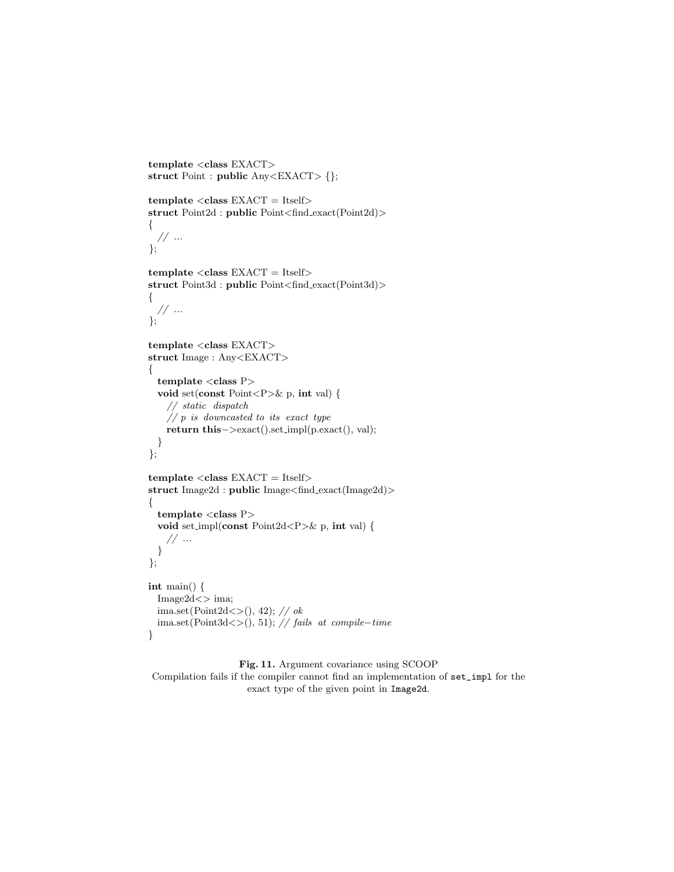```
template <class EXACT>
struct Point : public Any<EXACT> {};
```

```
template < class EXACT = Itself>struct Point2d : public Point<find exact(Point2d)>
{
 // ...
};
```

```
template < class EXACT = Itself>struct Point3d : public Point<find exact(Point3d)>
```

```
{
  // \dots};
```
}

```
template <class EXACT>
struct Image : Any<EXACT>
{
 template < class P>void set(const Point<P>& p, int val) {
   // static dispatch
   // p is downcasted to its exact typereturn this−>exact().set impl(p.exact(), val);
 }
};
```

```
template < class EXACT = Itself>struct Image2d : public Image<find exact(Image2d)>
{
 template < class P>void set impl(const Point2d<P>& p, int val) {
   // ...
 }
};
int main() {
 Image2d<> ima;
 ima.set(Point2d \ll (0, 42); // ok
 ima.set(Point3d<>(), 51); // fails at compile−time
```

```
Fig. 11. Argument covariance using SCOOP
Compilation fails if the compiler cannot find an implementation of set_impl for the
                    exact type of the given point in Image2d.
```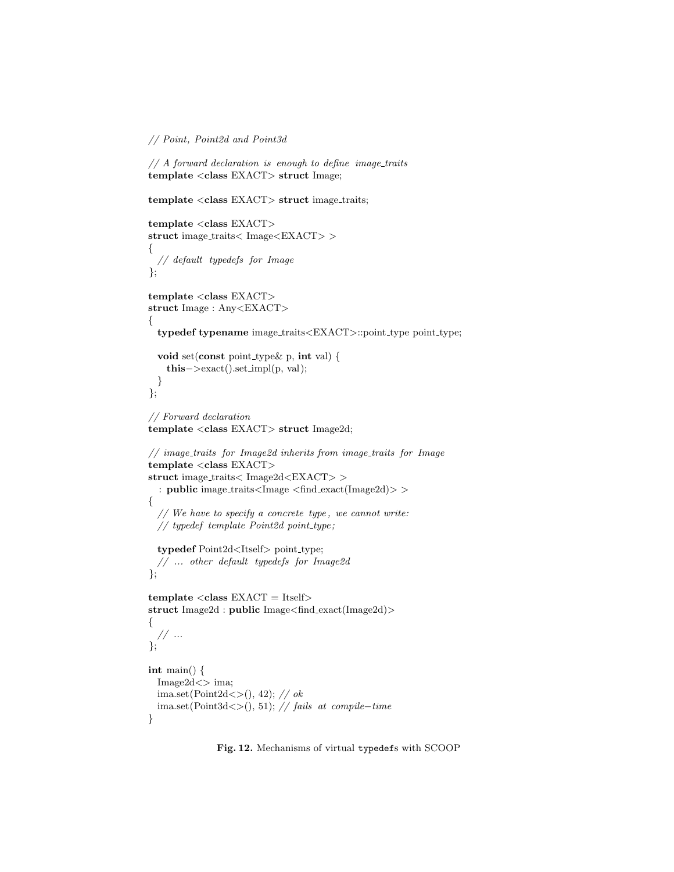// Point, Point2d and Point3d

```
// A forward declaration is enough to define image traits
template <class EXACT> struct Image;
```
template <class EXACT> struct image\_traits;

```
template <class EXACT>
struct image traits< Image<EXACT> >
{
 //\ default\ type defs\ for\ Image};
template <class EXACT>
struct Image : Any<EXACT>
{
 typedef typename image_traits<EXACT>::point_type point_type;
 void set(const point type& p, int val) {
   this−>exact().set impl(p, val);
 }
};
// Forward declaration
template <class EXACT> struct Image2d;
// image traits for Image2d inherits from image traits for Image
template <class EXACT>
struct image traits< Image2d<EXACT> >
 : public image traits<Image <find exact(Image2d)> >
{
 // We have to specify a concrete type, we cannot write:
 // typedef template Point2d point_type;
 typedef Point2d<Itself> point_type;
 // ... other default typedefs for Image2d
};
template < class EXACT = Itself>struct Image2d : public Image<find exact(Image2d)>
{
 // \; ...};
int main() {
 Image2d<> ima;
 ima.set(Point2d\langle \rangle), 42); // ok
 ima.set(Point3d < > (), 51); // fails at compile–time
}
```
Fig. 12. Mechanisms of virtual typedefs with SCOOP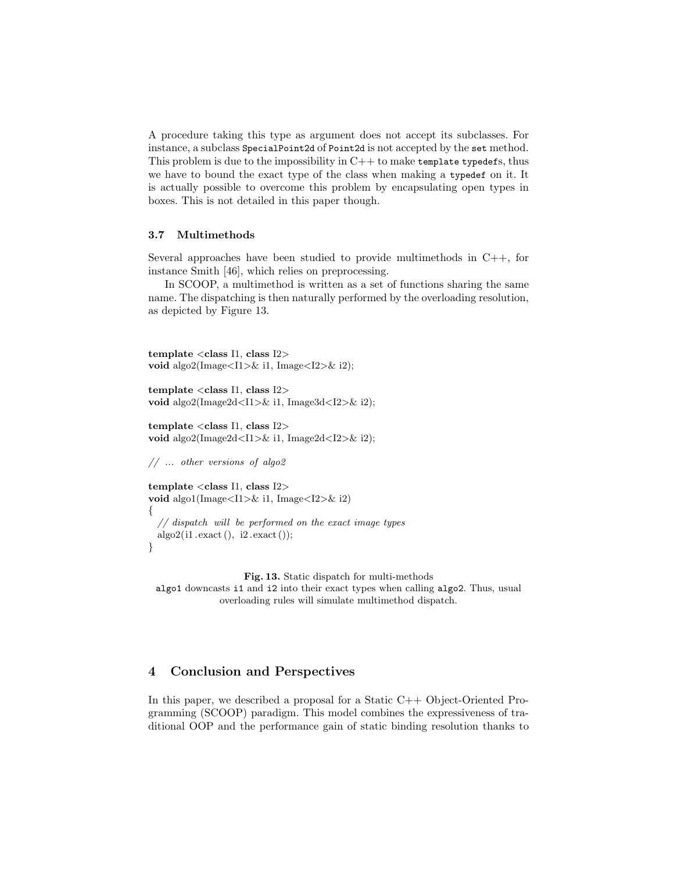A procedure taking this type as argument does not accept its subclasses. For instance, a subclass SpecialPoint2d of Point2d is not accepted by the set method. This problem is due to the impossibility in  $C++$  to make template typedefs, thus we have to bound the exact type of the class when making a typedef on it. It is actually possible to overcome this problem by encapsulating open types in boxes. This is not detailed in this paper though.

#### 3.7 Multimethods

Several approaches have been studied to provide multimethods in  $C++$ , for instance Smith [46], which relies on preprocessing.

In SCOOP, a multimethod is written as a set of functions sharing the same name. The dispatching is then naturally performed by the overloading resolution, as depicted by Figure 13.

```
template <class I1, class I2>
void algo2(Image\langle I1 \rangle \& i1, Image\langle I2 \rangle \& i2);
```

```
template <class I1, class I2>
void algo2(Image2d<I1>& i1, Image3d<I2>& i2);
```

```
template <class I1, class I2>
void algo2(Image2d<I1>& i1, Image2d<I2>& i2);
```
// ... other versions of algo2

```
template <class I1, class I2>
void algo1(Image<I1>& i1, Image<I2>& i2)
{
  // dispatch will be performed on the exact image types
 alogo2(i1.exact(), i2.exact(),}
```
Fig. 13. Static dispatch for multi-methods algo1 downcasts i1 and i2 into their exact types when calling algo2. Thus, usual overloading rules will simulate multimethod dispatch.

# 4 Conclusion and Perspectives

In this paper, we described a proposal for a Static  $C++$  Object-Oriented Programming (SCOOP) paradigm. This model combines the expressiveness of traditional OOP and the performance gain of static binding resolution thanks to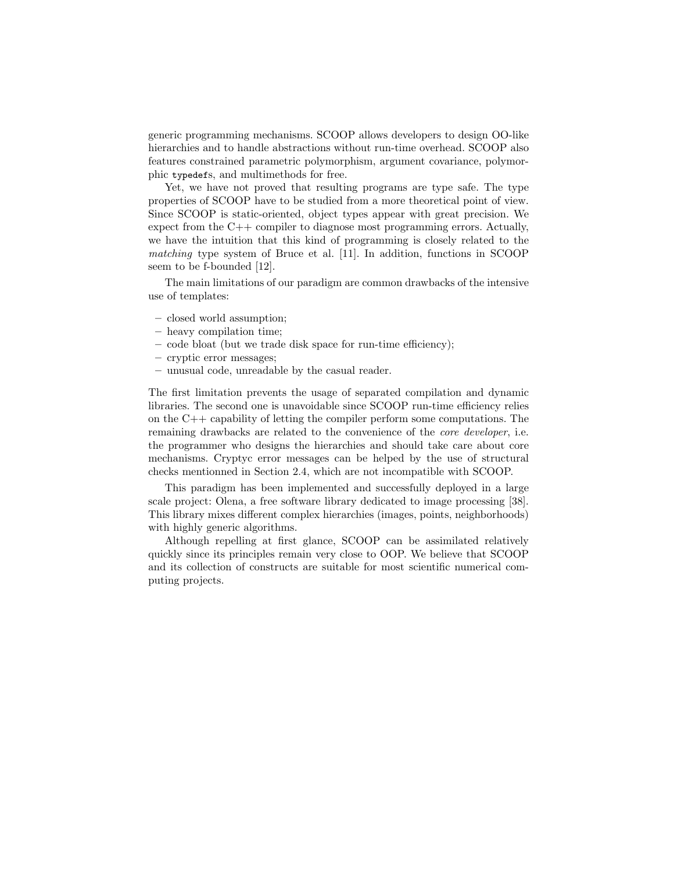generic programming mechanisms. SCOOP allows developers to design OO-like hierarchies and to handle abstractions without run-time overhead. SCOOP also features constrained parametric polymorphism, argument covariance, polymorphic typedefs, and multimethods for free.

Yet, we have not proved that resulting programs are type safe. The type properties of SCOOP have to be studied from a more theoretical point of view. Since SCOOP is static-oriented, object types appear with great precision. We expect from the C++ compiler to diagnose most programming errors. Actually, we have the intuition that this kind of programming is closely related to the matching type system of Bruce et al. [11]. In addition, functions in SCOOP seem to be f-bounded [12].

The main limitations of our paradigm are common drawbacks of the intensive use of templates:

- closed world assumption;
- heavy compilation time;
- code bloat (but we trade disk space for run-time efficiency);
- cryptic error messages;
- unusual code, unreadable by the casual reader.

The first limitation prevents the usage of separated compilation and dynamic libraries. The second one is unavoidable since SCOOP run-time efficiency relies on the  $C++$  capability of letting the compiler perform some computations. The remaining drawbacks are related to the convenience of the core developer, i.e. the programmer who designs the hierarchies and should take care about core mechanisms. Cryptyc error messages can be helped by the use of structural checks mentionned in Section 2.4, which are not incompatible with SCOOP.

This paradigm has been implemented and successfully deployed in a large scale project: Olena, a free software library dedicated to image processing [38]. This library mixes different complex hierarchies (images, points, neighborhoods) with highly generic algorithms.

Although repelling at first glance, SCOOP can be assimilated relatively quickly since its principles remain very close to OOP. We believe that SCOOP and its collection of constructs are suitable for most scientific numerical computing projects.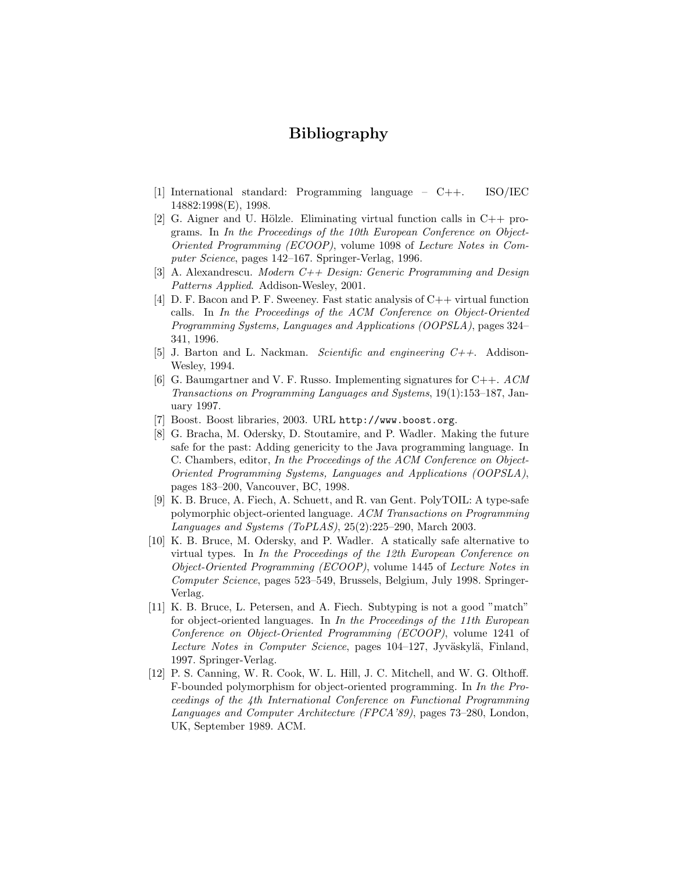# Bibliography

- [1] International standard: Programming language C++. ISO/IEC 14882:1998(E), 1998.
- [2] G. Aigner and U. Hölzle. Eliminating virtual function calls in  $C++$  programs. In In the Proceedings of the 10th European Conference on Object-Oriented Programming (ECOOP), volume 1098 of Lecture Notes in Computer Science, pages 142–167. Springer-Verlag, 1996.
- [3] A. Alexandrescu. *Modern C++ Design: Generic Programming and Design* Patterns Applied. Addison-Wesley, 2001.
- [4] D. F. Bacon and P. F. Sweeney. Fast static analysis of C++ virtual function calls. In In the Proceedings of the ACM Conference on Object-Oriented Programming Systems, Languages and Applications (OOPSLA), pages 324– 341, 1996.
- [5] J. Barton and L. Nackman. *Scientific and engineering*  $C_{++}$ *.* Addison-Wesley, 1994.
- [6] G. Baumgartner and V. F. Russo. Implementing signatures for  $C++$ . ACM Transactions on Programming Languages and Systems, 19(1):153–187, January 1997.
- [7] Boost. Boost libraries, 2003. URL http://www.boost.org.
- [8] G. Bracha, M. Odersky, D. Stoutamire, and P. Wadler. Making the future safe for the past: Adding genericity to the Java programming language. In C. Chambers, editor, In the Proceedings of the ACM Conference on Object-Oriented Programming Systems, Languages and Applications (OOPSLA), pages 183–200, Vancouver, BC, 1998.
- [9] K. B. Bruce, A. Fiech, A. Schuett, and R. van Gent. PolyTOIL: A type-safe polymorphic object-oriented language. ACM Transactions on Programming Languages and Systems (ToPLAS), 25(2):225–290, March 2003.
- [10] K. B. Bruce, M. Odersky, and P. Wadler. A statically safe alternative to virtual types. In In the Proceedings of the 12th European Conference on Object-Oriented Programming (ECOOP), volume 1445 of Lecture Notes in Computer Science, pages 523–549, Brussels, Belgium, July 1998. Springer-Verlag.
- [11] K. B. Bruce, L. Petersen, and A. Fiech. Subtyping is not a good "match" for object-oriented languages. In In the Proceedings of the 11th European Conference on Object-Oriented Programming (ECOOP), volume 1241 of Lecture Notes in Computer Science, pages 104–127, Jyväskylä, Finland, 1997. Springer-Verlag.
- [12] P. S. Canning, W. R. Cook, W. L. Hill, J. C. Mitchell, and W. G. Olthoff. F-bounded polymorphism for object-oriented programming. In In the Proceedings of the 4th International Conference on Functional Programming Languages and Computer Architecture (FPCA'89), pages 73–280, London, UK, September 1989. ACM.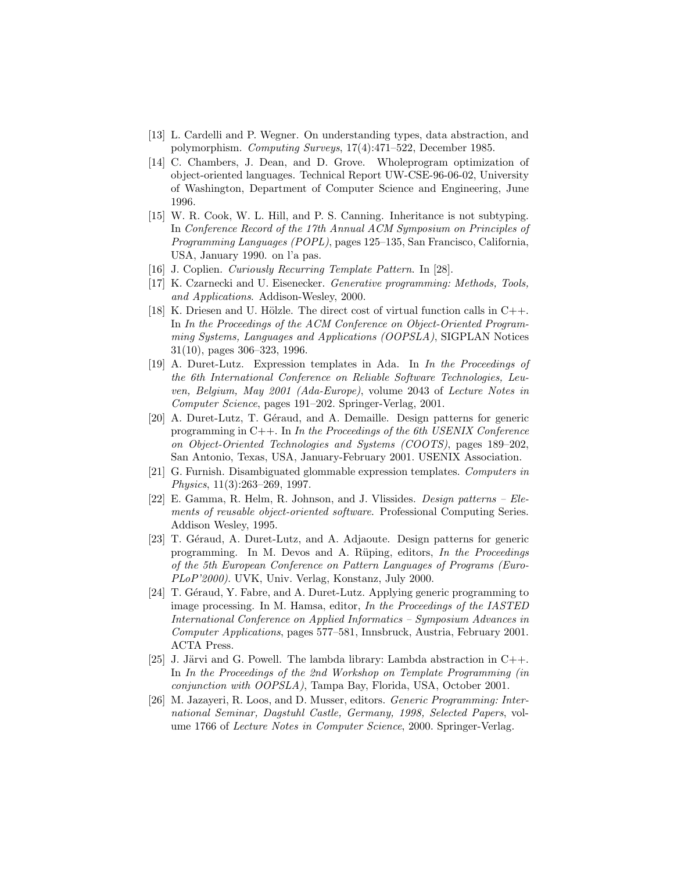- [13] L. Cardelli and P. Wegner. On understanding types, data abstraction, and polymorphism. Computing Surveys, 17(4):471–522, December 1985.
- [14] C. Chambers, J. Dean, and D. Grove. Wholeprogram optimization of object-oriented languages. Technical Report UW-CSE-96-06-02, University of Washington, Department of Computer Science and Engineering, June 1996.
- [15] W. R. Cook, W. L. Hill, and P. S. Canning. Inheritance is not subtyping. In Conference Record of the 17th Annual ACM Symposium on Principles of Programming Languages (POPL), pages 125–135, San Francisco, California, USA, January 1990. on l'a pas.
- [16] J. Coplien. Curiously Recurring Template Pattern. In [28].
- [17] K. Czarnecki and U. Eisenecker. Generative programming: Methods, Tools, and Applications. Addison-Wesley, 2000.
- [18] K. Driesen and U. Hölzle. The direct cost of virtual function calls in  $C++$ . In In the Proceedings of the ACM Conference on Object-Oriented Programming Systems, Languages and Applications (OOPSLA), SIGPLAN Notices 31(10), pages 306–323, 1996.
- [19] A. Duret-Lutz. Expression templates in Ada. In In the Proceedings of the 6th International Conference on Reliable Software Technologies, Leuven, Belgium, May 2001 (Ada-Europe), volume 2043 of Lecture Notes in Computer Science, pages 191–202. Springer-Verlag, 2001.
- [20] A. Duret-Lutz, T. Géraud, and A. Demaille. Design patterns for generic programming in  $C++$ . In In the Proceedings of the 6th USENIX Conference on Object-Oriented Technologies and Systems (COOTS), pages 189–202, San Antonio, Texas, USA, January-February 2001. USENIX Association.
- [21] G. Furnish. Disambiguated glommable expression templates. Computers in Physics, 11(3):263–269, 1997.
- [22] E. Gamma, R. Helm, R. Johnson, and J. Vlissides. Design patterns Elements of reusable object-oriented software. Professional Computing Series. Addison Wesley, 1995.
- [23] T. Géraud, A. Duret-Lutz, and A. Adjaoute. Design patterns for generic programming. In M. Devos and A. Rüping, editors,  $In the Proceedings$ of the 5th European Conference on Pattern Languages of Programs (Euro-PLoP'2000). UVK, Univ. Verlag, Konstanz, July 2000.
- [24] T. Géraud, Y. Fabre, and A. Duret-Lutz. Applying generic programming to image processing. In M. Hamsa, editor, In the Proceedings of the IASTED International Conference on Applied Informatics – Symposium Advances in Computer Applications, pages 577–581, Innsbruck, Austria, February 2001. ACTA Press.
- [25] J. Järvi and G. Powell. The lambda library: Lambda abstraction in  $C++$ . In In the Proceedings of the 2nd Workshop on Template Programming (in conjunction with OOPSLA), Tampa Bay, Florida, USA, October 2001.
- [26] M. Jazayeri, R. Loos, and D. Musser, editors. Generic Programming: International Seminar, Dagstuhl Castle, Germany, 1998, Selected Papers, volume 1766 of Lecture Notes in Computer Science, 2000. Springer-Verlag.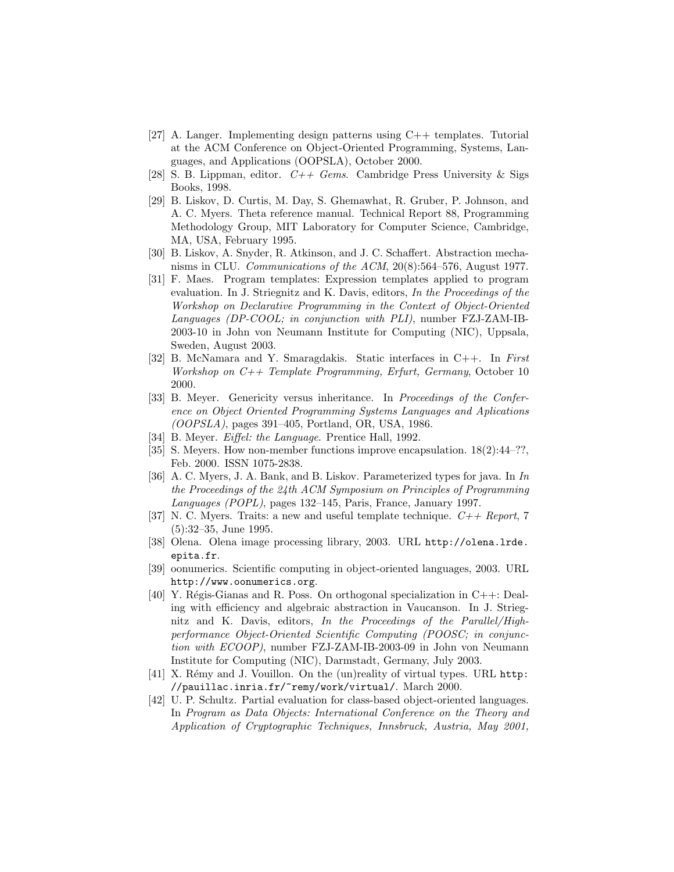- [27] A. Langer. Implementing design patterns using C++ templates. Tutorial at the ACM Conference on Object-Oriented Programming, Systems, Languages, and Applications (OOPSLA), October 2000.
- [28] S. B. Lippman, editor.  $C++\mathit{Gems}$ . Cambridge Press University & Sigs Books, 1998.
- [29] B. Liskov, D. Curtis, M. Day, S. Ghemawhat, R. Gruber, P. Johnson, and A. C. Myers. Theta reference manual. Technical Report 88, Programming Methodology Group, MIT Laboratory for Computer Science, Cambridge, MA, USA, February 1995.
- [30] B. Liskov, A. Snyder, R. Atkinson, and J. C. Schaffert. Abstraction mechanisms in CLU. Communications of the ACM, 20(8):564–576, August 1977.
- [31] F. Maes. Program templates: Expression templates applied to program evaluation. In J. Striegnitz and K. Davis, editors, In the Proceedings of the Workshop on Declarative Programming in the Context of Object-Oriented Languages (DP-COOL; in conjunction with PLI), number FZJ-ZAM-IB-2003-10 in John von Neumann Institute for Computing (NIC), Uppsala, Sweden, August 2003.
- [32] B. McNamara and Y. Smaragdakis. Static interfaces in C++. In First Workshop on C++ Template Programming, Erfurt, Germany, October 10 2000.
- [33] B. Meyer. Genericity versus inheritance. In Proceedings of the Conference on Object Oriented Programming Systems Languages and Aplications (OOPSLA), pages 391–405, Portland, OR, USA, 1986.
- [34] B. Meyer. *Eiffel: the Language*. Prentice Hall, 1992.
- [35] S. Meyers. How non-member functions improve encapsulation. 18(2):44–??, Feb. 2000. ISSN 1075-2838.
- [36] A. C. Myers, J. A. Bank, and B. Liskov. Parameterized types for java. In In the Proceedings of the 24th ACM Symposium on Principles of Programming Languages (POPL), pages 132–145, Paris, France, January 1997.
- [37] N. C. Myers. Traits: a new and useful template technique.  $C++$  Report, 7 (5):32–35, June 1995.
- [38] Olena. Olena image processing library, 2003. URL http://olena.lrde. epita.fr.
- [39] oonumerics. Scientific computing in object-oriented languages, 2003. URL http://www.oonumerics.org.
- [40] Y. Régis-Gianas and R. Poss. On orthogonal specialization in  $C++:$  Dealing with efficiency and algebraic abstraction in Vaucanson. In J. Striegnitz and K. Davis, editors, In the Proceedings of the Parallel/Highperformance Object-Oriented Scientific Computing (POOSC; in conjunction with ECOOP), number FZJ-ZAM-IB-2003-09 in John von Neumann Institute for Computing (NIC), Darmstadt, Germany, July 2003.
- $[41]$  X. Rémy and J. Vouillon. On the (un)reality of virtual types. URL http: //pauillac.inria.fr/~remy/work/virtual/. March 2000.
- [42] U. P. Schultz. Partial evaluation for class-based object-oriented languages. In Program as Data Objects: International Conference on the Theory and Application of Cryptographic Techniques, Innsbruck, Austria, May 2001,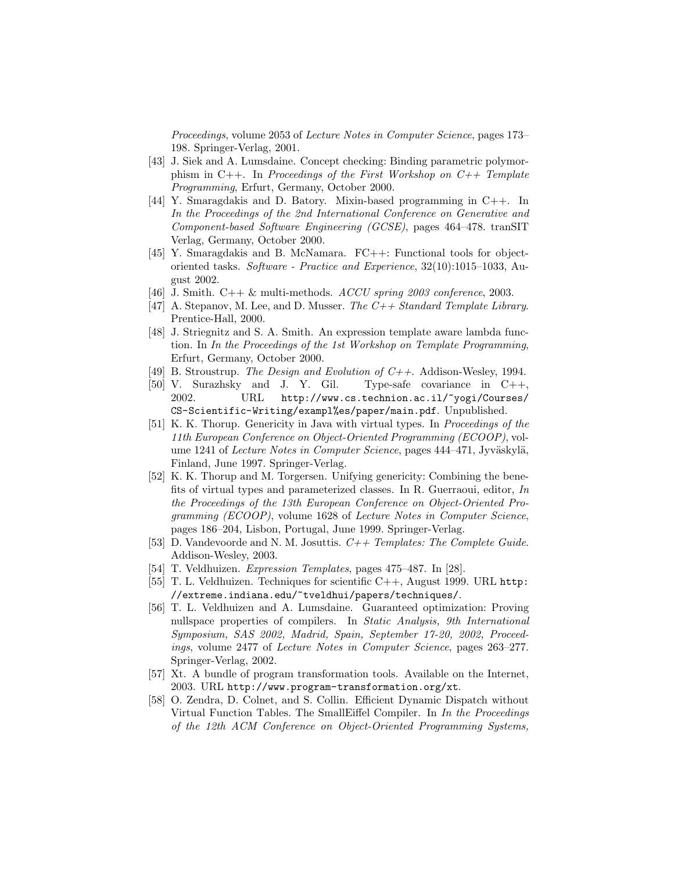Proceedings, volume 2053 of Lecture Notes in Computer Science, pages 173– 198. Springer-Verlag, 2001.

- [43] J. Siek and A. Lumsdaine. Concept checking: Binding parametric polymorphism in  $C++$ . In Proceedings of the First Workshop on  $C++$  Template Programming, Erfurt, Germany, October 2000.
- [44] Y. Smaragdakis and D. Batory. Mixin-based programming in C++. In In the Proceedings of the 2nd International Conference on Generative and Component-based Software Engineering (GCSE), pages 464–478. tranSIT Verlag, Germany, October 2000.
- [45] Y. Smaragdakis and B. McNamara. FC++: Functional tools for objectoriented tasks. Software - Practice and Experience, 32(10):1015–1033, August 2002.
- [46] J. Smith. C++ & multi-methods. ACCU spring 2003 conference, 2003.
- [47] A. Stepanov, M. Lee, and D. Musser. The  $C++ Standard$  Template Library. Prentice-Hall, 2000.
- [48] J. Striegnitz and S. A. Smith. An expression template aware lambda function. In In the Proceedings of the 1st Workshop on Template Programming, Erfurt, Germany, October 2000.
- [49] B. Stroustrup. The Design and Evolution of  $C_{++}$ . Addison-Wesley, 1994.
- [50] V. Surazhsky and J. Y. Gil. Type-safe covariance in C++, 2002. URL http://www.cs.technion.ac.il/~yogi/Courses/ CS-Scientific-Writing/exampl%es/paper/main.pdf. Unpublished.
- [51] K. K. Thorup. Genericity in Java with virtual types. In Proceedings of the 11th European Conference on Object-Oriented Programming (ECOOP), volume 1241 of Lecture Notes in Computer Science, pages 444–471, Jyväskylä, Finland, June 1997. Springer-Verlag.
- [52] K. K. Thorup and M. Torgersen. Unifying genericity: Combining the benefits of virtual types and parameterized classes. In R. Guerraoui, editor, In the Proceedings of the 13th European Conference on Object-Oriented Programming (ECOOP), volume 1628 of Lecture Notes in Computer Science, pages 186–204, Lisbon, Portugal, June 1999. Springer-Verlag.
- [53] D. Vandevoorde and N. M. Josuttis.  $C++$  Templates: The Complete Guide. Addison-Wesley, 2003.
- [54] T. Veldhuizen. Expression Templates, pages 475–487. In [28].
- [55] T. L. Veldhuizen. Techniques for scientific C++, August 1999. URL http: //extreme.indiana.edu/~tveldhui/papers/techniques/.
- [56] T. L. Veldhuizen and A. Lumsdaine. Guaranteed optimization: Proving nullspace properties of compilers. In Static Analysis, 9th International Symposium, SAS 2002, Madrid, Spain, September 17-20, 2002, Proceedings, volume 2477 of Lecture Notes in Computer Science, pages 263–277. Springer-Verlag, 2002.
- [57] Xt. A bundle of program transformation tools. Available on the Internet, 2003. URL http://www.program-transformation.org/xt.
- [58] O. Zendra, D. Colnet, and S. Collin. Efficient Dynamic Dispatch without Virtual Function Tables. The SmallEiffel Compiler. In In the Proceedings of the 12th ACM Conference on Object-Oriented Programming Systems,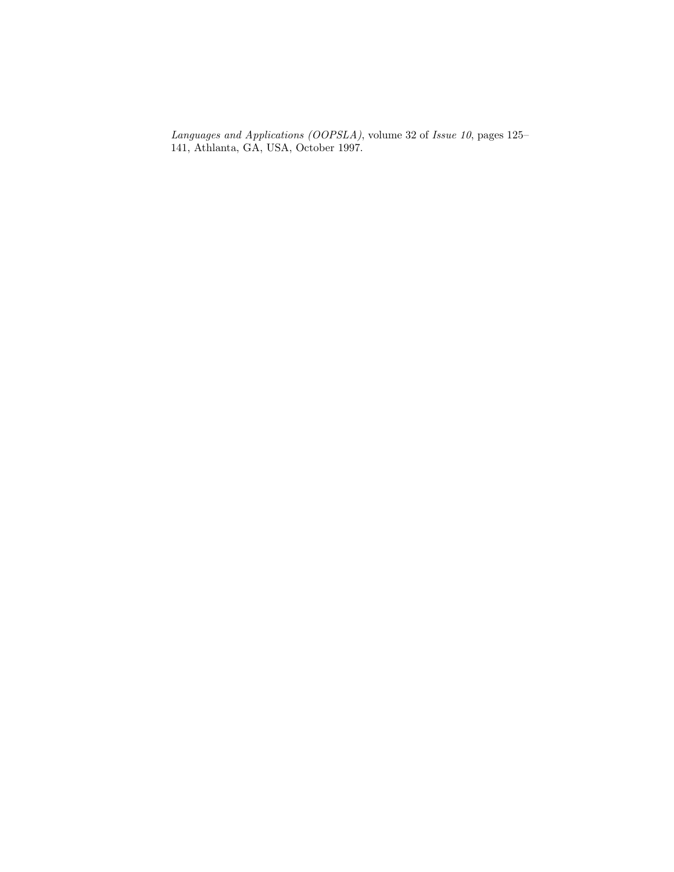Languages and Applications (OOPSLA), volume 32 of Issue 10, pages 125– 141, Athlanta, GA, USA, October 1997.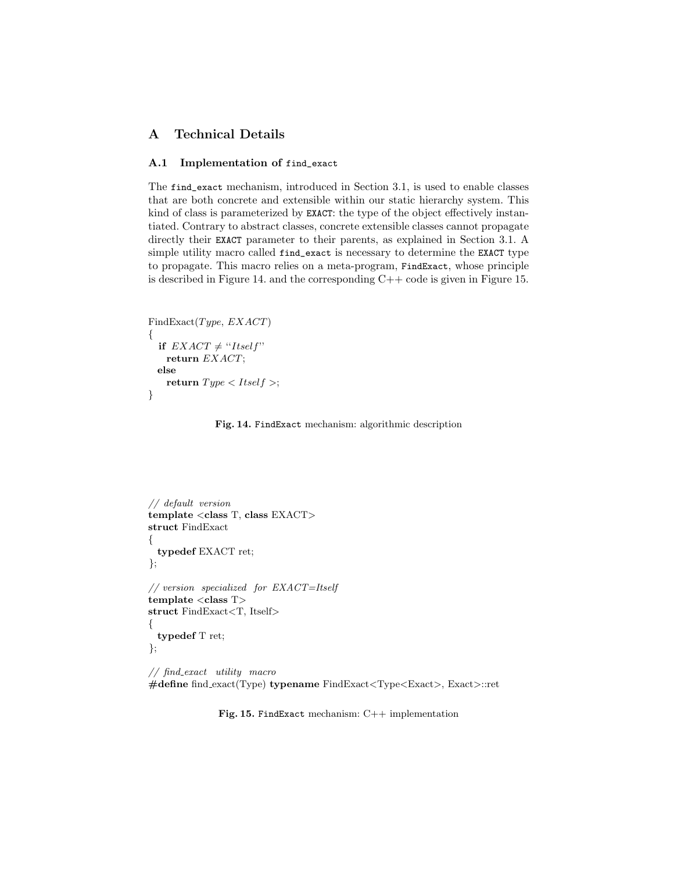## A Technical Details

### A.1 Implementation of find\_exact

The find\_exact mechanism, introduced in Section 3.1, is used to enable classes that are both concrete and extensible within our static hierarchy system. This kind of class is parameterized by EXACT: the type of the object effectively instantiated. Contrary to abstract classes, concrete extensible classes cannot propagate directly their EXACT parameter to their parents, as explained in Section 3.1. A simple utility macro called find\_exact is necessary to determine the EXACT type to propagate. This macro relies on a meta-program, FindExact, whose principle is described in Figure 14. and the corresponding  $C++$  code is given in Figure 15.

```
FindExact(Type, EXACT){
 if EXACT \neq "Itself"return EXACT;
 else
   return Type < Itself;
}
```
#### Fig. 14. FindExact mechanism: algorithmic description

// default version template <class T, class EXACT> struct FindExact { typedef EXACT ret; }; // version specialized for EXACT=Itself  $template < class T$ struct FindExact<T, Itself> { typedef T ret; };

// find exact utility macro #define find exact(Type) typename FindExact<Type<Exact>, Exact>::ret

Fig. 15. FindExact mechanism: C++ implementation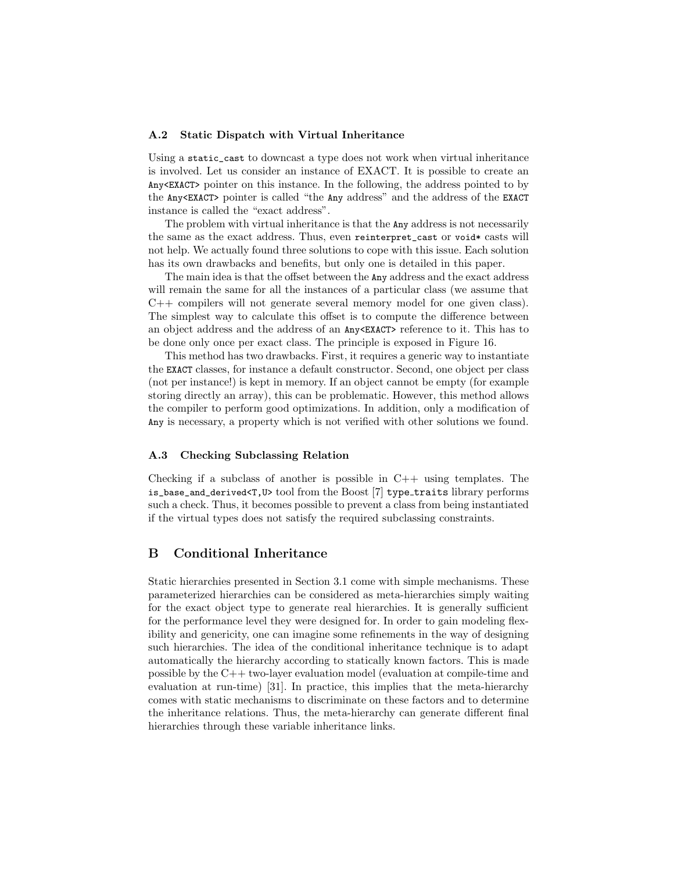#### A.2 Static Dispatch with Virtual Inheritance

Using a static\_cast to downcast a type does not work when virtual inheritance is involved. Let us consider an instance of EXACT. It is possible to create an Any<EXACT> pointer on this instance. In the following, the address pointed to by the Any<EXACT> pointer is called "the Any address" and the address of the EXACT instance is called the "exact address".

The problem with virtual inheritance is that the Any address is not necessarily the same as the exact address. Thus, even reinterpret\_cast or void\* casts will not help. We actually found three solutions to cope with this issue. Each solution has its own drawbacks and benefits, but only one is detailed in this paper.

The main idea is that the offset between the Any address and the exact address will remain the same for all the instances of a particular class (we assume that C++ compilers will not generate several memory model for one given class). The simplest way to calculate this offset is to compute the difference between an object address and the address of an Any<EXACT> reference to it. This has to be done only once per exact class. The principle is exposed in Figure 16.

This method has two drawbacks. First, it requires a generic way to instantiate the EXACT classes, for instance a default constructor. Second, one object per class (not per instance!) is kept in memory. If an object cannot be empty (for example storing directly an array), this can be problematic. However, this method allows the compiler to perform good optimizations. In addition, only a modification of Any is necessary, a property which is not verified with other solutions we found.

#### A.3 Checking Subclassing Relation

Checking if a subclass of another is possible in  $C++$  using templates. The is\_base\_and\_derived<T,U> tool from the Boost [7] type traits library performs such a check. Thus, it becomes possible to prevent a class from being instantiated if the virtual types does not satisfy the required subclassing constraints.

### B Conditional Inheritance

Static hierarchies presented in Section 3.1 come with simple mechanisms. These parameterized hierarchies can be considered as meta-hierarchies simply waiting for the exact object type to generate real hierarchies. It is generally sufficient for the performance level they were designed for. In order to gain modeling flexibility and genericity, one can imagine some refinements in the way of designing such hierarchies. The idea of the conditional inheritance technique is to adapt automatically the hierarchy according to statically known factors. This is made possible by the  $C++$  two-layer evaluation model (evaluation at compile-time and evaluation at run-time) [31]. In practice, this implies that the meta-hierarchy comes with static mechanisms to discriminate on these factors and to determine the inheritance relations. Thus, the meta-hierarchy can generate different final hierarchies through these variable inheritance links.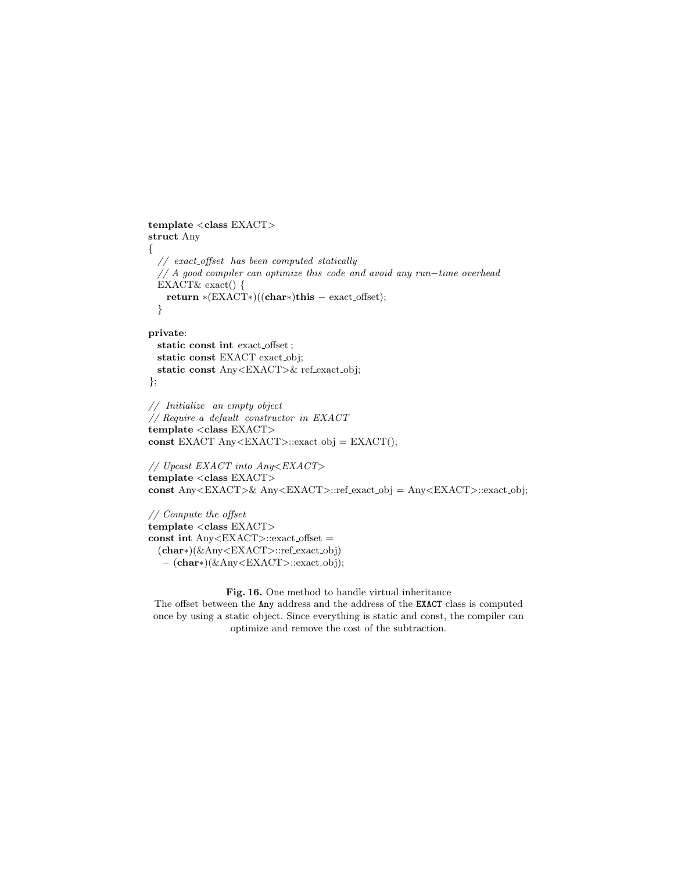```
template <class EXACT>
struct Any
{
 // exact-off set has been computed statistically// A good compiler can optimize this code and avoid any run−time overhead
 EXACT& exact() {
   return ∗(EXACT∗)((char∗)this − exact offset);
 }
```

```
private:
 static const int exact offset ;
 static const EXACT exact_obj;
 static const Any<EXACT>& ref exact obj;
};
```

```
// Initialize an empty object
// Require a default constructor in EXACT
template <class EXACT>
const EXACT Any<EXACT>::exact obj = EXACT();
```

```
// Upcast EXACT into Any<EXACT>
template <class EXACT>
const Any<EXACT>& Any<EXACT>::ref exact obj = Any<EXACT>::exact obj;
```

```
// Compute the offset
template <class EXACT>
const int Any < EXACT:exact_offset =
 (char∗)(&Any<EXACT>::ref exact obj)
  − (char∗)(&Any<EXACT>::exact obj);
```
#### Fig. 16. One method to handle virtual inheritance

The offset between the Any address and the address of the EXACT class is computed once by using a static object. Since everything is static and const, the compiler can optimize and remove the cost of the subtraction.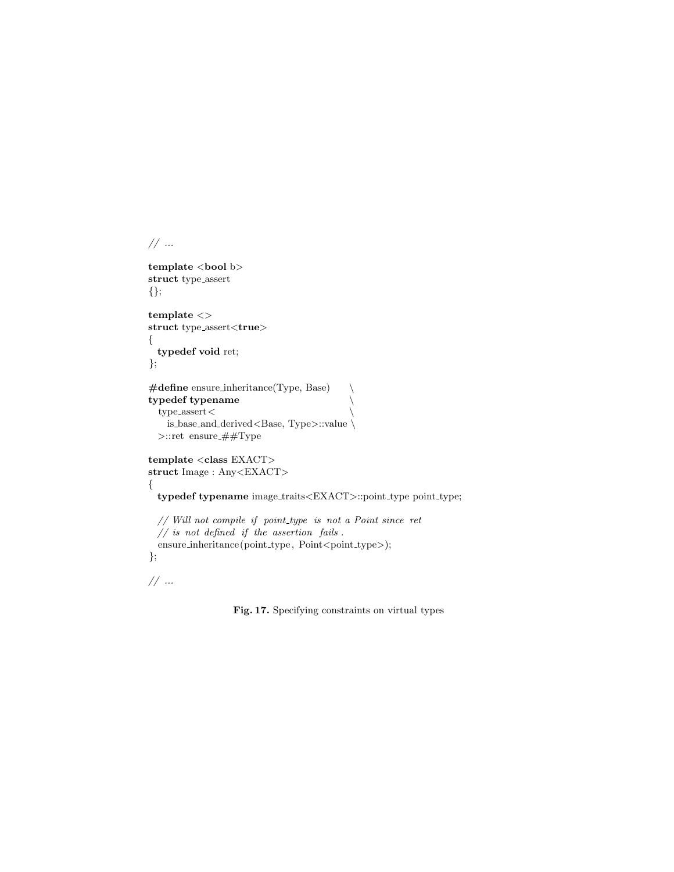$// \dots$ 

template <br/> <br/>bool b> struct type assert {};

template  $\mathopen{<} >$ struct type\_assert<true> { typedef void ret; };

```
#define ensure inheritance(Type, Base) \
typedef typename \
  type\_assert <is_base_and_derived<Base, Type>::value \backslash>::retensure_##Type
```
template  $<$ class $\textit{EXACT}$   $>$ struct Image : Any<EXACT> {

typedef typename image\_traits<EXACT>::point\_type point\_type;

// Will not compile if point\_type is not a Point since ret  $//$  is not defined if the assertion fails .  $e$ nsure\_inheritance(point\_type, Point<point\_type>); };

 $// \dots$ 

Fig. 17. Specifying constraints on virtual types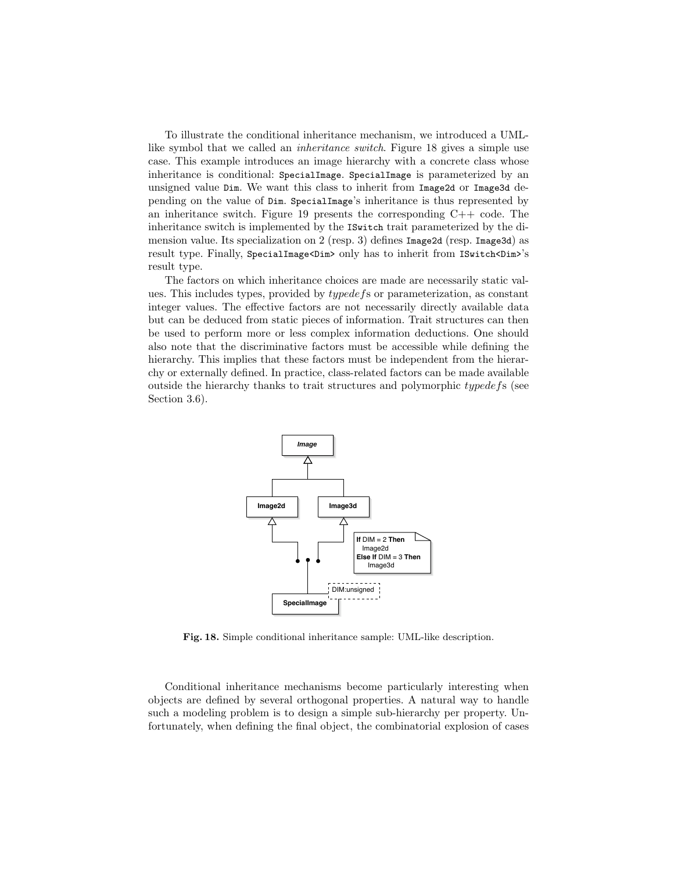To illustrate the conditional inheritance mechanism, we introduced a UMLlike symbol that we called an inheritance switch. Figure 18 gives a simple use case. This example introduces an image hierarchy with a concrete class whose inheritance is conditional: SpecialImage. SpecialImage is parameterized by an unsigned value Dim. We want this class to inherit from Image2d or Image3d depending on the value of Dim. SpecialImage's inheritance is thus represented by an inheritance switch. Figure 19 presents the corresponding  $C++$  code. The inheritance switch is implemented by the ISwitch trait parameterized by the dimension value. Its specialization on 2 (resp. 3) defines Image2d (resp. Image3d) as result type. Finally, SpecialImage<Dim> only has to inherit from ISwitch<Dim>'s result type.

The factors on which inheritance choices are made are necessarily static values. This includes types, provided by typedefs or parameterization, as constant integer values. The effective factors are not necessarily directly available data but can be deduced from static pieces of information. Trait structures can then be used to perform more or less complex information deductions. One should also note that the discriminative factors must be accessible while defining the hierarchy. This implies that these factors must be independent from the hierarchy or externally defined. In practice, class-related factors can be made available outside the hierarchy thanks to trait structures and polymorphic typedefs (see Section 3.6).



Fig. 18. Simple conditional inheritance sample: UML-like description.

Conditional inheritance mechanisms become particularly interesting when objects are defined by several orthogonal properties. A natural way to handle such a modeling problem is to design a simple sub-hierarchy per property. Unfortunately, when defining the final object, the combinatorial explosion of cases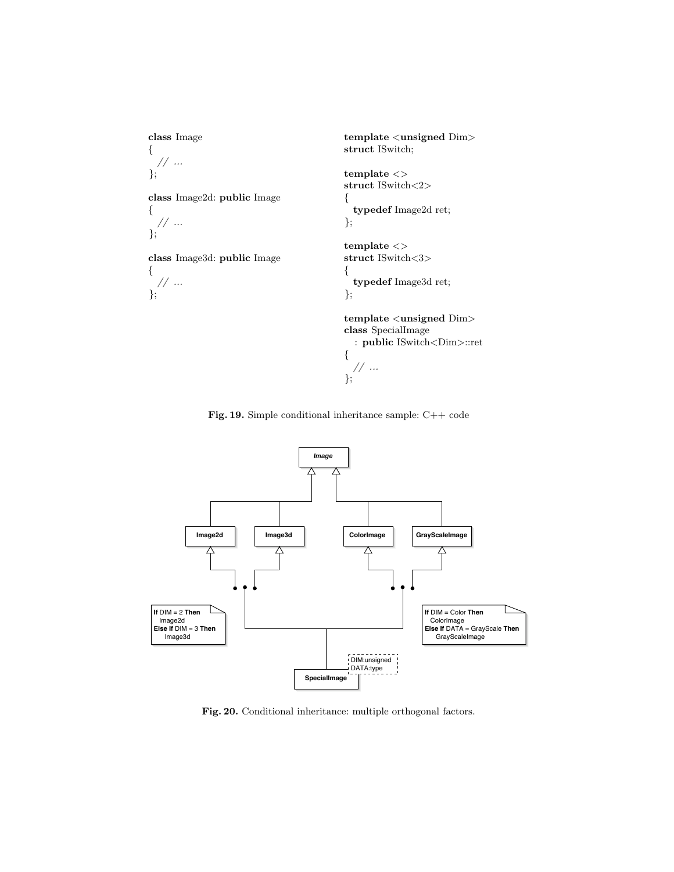

Fig. 19. Simple conditional inheritance sample: C++ code



Fig. 20. Conditional inheritance: multiple orthogonal factors.